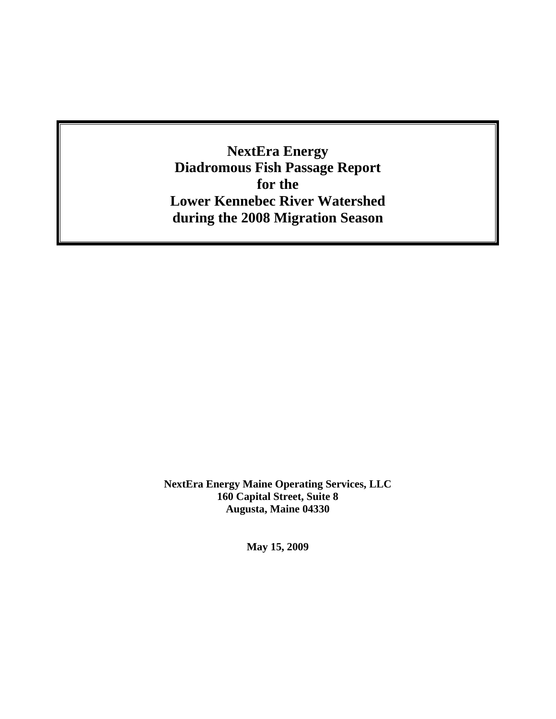**NextEra Energy Diadromous Fish Passage Report for the Lower Kennebec River Watershed during the 2008 Migration Season**

**NextEra Energy Maine Operating Services, LLC 160 Capital Street, Suite 8 Augusta, Maine 04330** 

**May 15, 2009**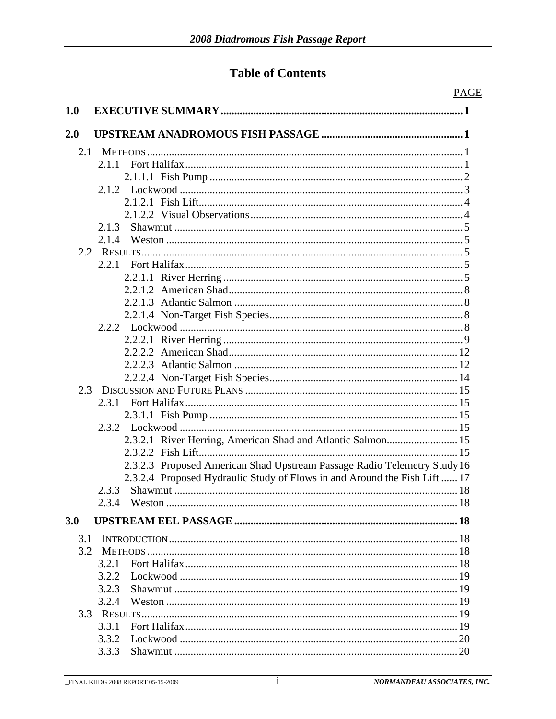## **Table of Contents**

|     | <b>PAGE</b>                                                               |
|-----|---------------------------------------------------------------------------|
| 1.0 |                                                                           |
|     |                                                                           |
| 2.0 |                                                                           |
| 2.1 |                                                                           |
|     | 2.1.1                                                                     |
|     |                                                                           |
|     |                                                                           |
|     |                                                                           |
|     |                                                                           |
|     | 2.1.3                                                                     |
|     | 2.1.4                                                                     |
|     |                                                                           |
|     |                                                                           |
|     |                                                                           |
|     |                                                                           |
|     |                                                                           |
|     |                                                                           |
|     |                                                                           |
|     |                                                                           |
|     |                                                                           |
|     |                                                                           |
|     |                                                                           |
| 2.3 |                                                                           |
|     | 2.3.1                                                                     |
|     |                                                                           |
|     |                                                                           |
|     | 2.3.2.1 River Herring, American Shad and Atlantic Salmon 15               |
|     |                                                                           |
|     | 2.3.2.3 Proposed American Shad Upstream Passage Radio Telemetry Study 16  |
|     | 2.3.2.4 Proposed Hydraulic Study of Flows in and Around the Fish Lift  17 |
|     | 2.3.3 Shawmut.<br>$-18$                                                   |
|     |                                                                           |
|     |                                                                           |
| 3.0 |                                                                           |
| 3.1 |                                                                           |
| 3.2 |                                                                           |
|     | 3.2.1                                                                     |
|     | 3.2.2                                                                     |
|     | 3.2.3                                                                     |
|     | 3.2.4                                                                     |
|     |                                                                           |
|     | 3.3.1                                                                     |
|     | 3.3.2                                                                     |
|     | 3.3.3                                                                     |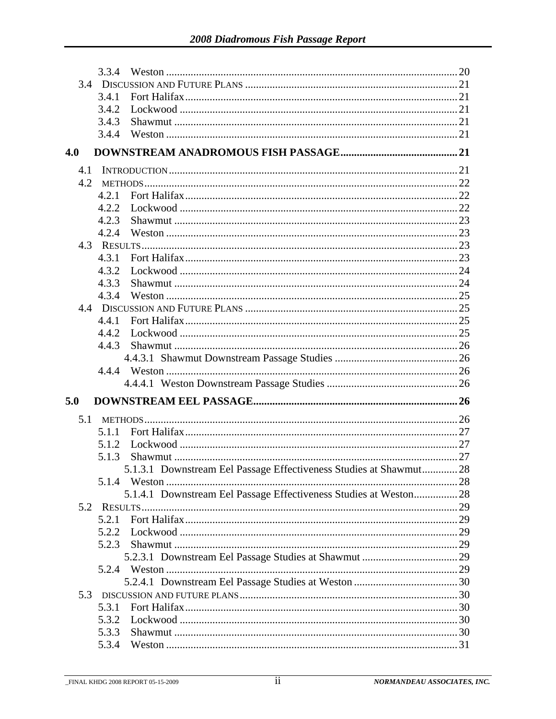|     | 3.3.4 |                                                                    |  |
|-----|-------|--------------------------------------------------------------------|--|
|     |       |                                                                    |  |
|     | 3.4.1 |                                                                    |  |
|     | 3.4.2 |                                                                    |  |
|     | 3.4.3 |                                                                    |  |
|     | 3.4.4 |                                                                    |  |
| 4.0 |       |                                                                    |  |
| 4.1 |       |                                                                    |  |
| 4.2 |       |                                                                    |  |
|     | 4.2.1 |                                                                    |  |
|     | 4.2.2 |                                                                    |  |
|     | 4.2.3 |                                                                    |  |
|     | 4.2.4 |                                                                    |  |
|     |       |                                                                    |  |
|     | 4.3.1 |                                                                    |  |
|     | 4.3.2 |                                                                    |  |
|     | 4.3.3 |                                                                    |  |
|     | 4.3.4 |                                                                    |  |
|     |       |                                                                    |  |
|     | 4.4.1 |                                                                    |  |
|     | 4.4.2 |                                                                    |  |
|     | 4.4.3 |                                                                    |  |
|     |       |                                                                    |  |
|     |       |                                                                    |  |
|     |       |                                                                    |  |
|     |       |                                                                    |  |
| 5.0 |       |                                                                    |  |
| 5.1 |       |                                                                    |  |
|     | 5.1.1 |                                                                    |  |
|     | 5.1.2 |                                                                    |  |
|     | 5.1.3 |                                                                    |  |
|     |       | 5.1.3.1 Downstream Eel Passage Effectiveness Studies at Shawmut 28 |  |
|     |       |                                                                    |  |
|     |       | 5.1.4.1 Downstream Eel Passage Effectiveness Studies at Weston 28  |  |
| 5.2 |       |                                                                    |  |
|     | 5.2.1 |                                                                    |  |
|     | 5.2.2 |                                                                    |  |
|     | 5.2.3 |                                                                    |  |
|     |       |                                                                    |  |
|     |       |                                                                    |  |
|     |       |                                                                    |  |
| 5.3 |       |                                                                    |  |
|     | 5.3.1 |                                                                    |  |
|     | 5.3.2 |                                                                    |  |
|     | 5.3.3 |                                                                    |  |
|     | 5.3.4 |                                                                    |  |
|     |       |                                                                    |  |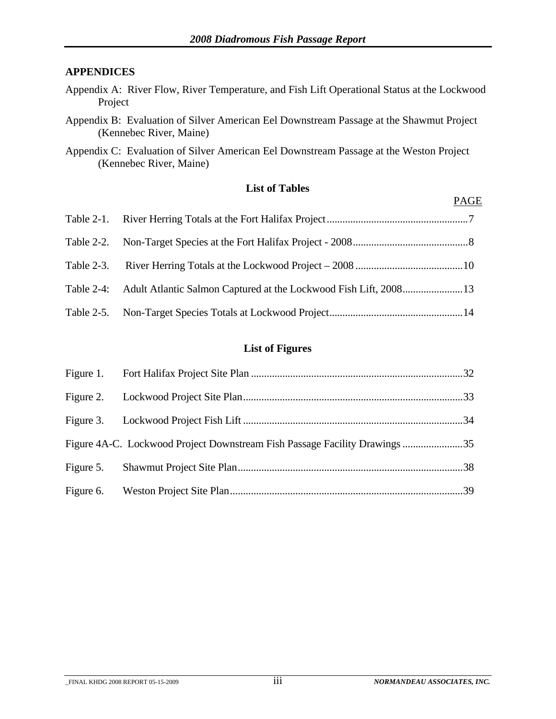#### **APPENDICES**

- Appendix A: River Flow, River Temperature, and Fish Lift Operational Status at the Lockwood Project
- Appendix B: Evaluation of Silver American Eel Downstream Passage at the Shawmut Project (Kennebec River, Maine)
- Appendix C: Evaluation of Silver American Eel Downstream Passage at the Weston Project (Kennebec River, Maine)

#### **List of Tables**

| Table 2-4: Adult Atlantic Salmon Captured at the Lockwood Fish Lift, 2008 13 |
|------------------------------------------------------------------------------|
|                                                                              |

#### **List of Figures**

| Figure 5. |  |
|-----------|--|
|           |  |

PAGE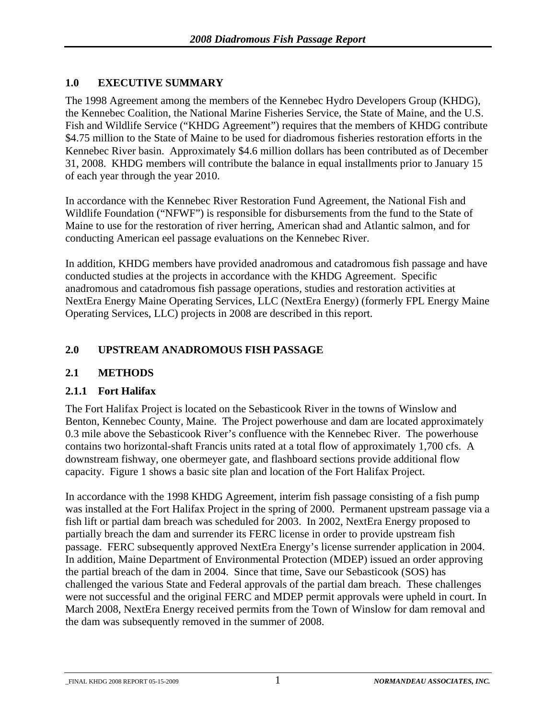#### <span id="page-4-0"></span>**1.0 EXECUTIVE SUMMARY**

The 1998 Agreement among the members of the Kennebec Hydro Developers Group (KHDG), the Kennebec Coalition, the National Marine Fisheries Service, the State of Maine, and the U.S. Fish and Wildlife Service ("KHDG Agreement") requires that the members of KHDG contribute \$4.75 million to the State of Maine to be used for diadromous fisheries restoration efforts in the Kennebec River basin. Approximately \$4.6 million dollars has been contributed as of December 31, 2008. KHDG members will contribute the balance in equal installments prior to January 15 of each year through the year 2010.

In accordance with the Kennebec River Restoration Fund Agreement, the National Fish and Wildlife Foundation ("NFWF") is responsible for disbursements from the fund to the State of Maine to use for the restoration of river herring, American shad and Atlantic salmon, and for conducting American eel passage evaluations on the Kennebec River.

In addition, KHDG members have provided anadromous and catadromous fish passage and have conducted studies at the projects in accordance with the KHDG Agreement. Specific anadromous and catadromous fish passage operations, studies and restoration activities at NextEra Energy Maine Operating Services, LLC (NextEra Energy) (formerly FPL Energy Maine Operating Services, LLC) projects in 2008 are described in this report.

#### **2.0 UPSTREAM ANADROMOUS FISH PASSAGE**

#### **2.1 METHODS**

#### **2.1.1 Fort Halifax**

The Fort Halifax Project is located on the Sebasticook River in the towns of Winslow and Benton, Kennebec County, Maine. The Project powerhouse and dam are located approximately 0.3 mile above the Sebasticook River's confluence with the Kennebec River. The powerhouse contains two horizontal-shaft Francis units rated at a total flow of approximately 1,700 cfs. A downstream fishway, one obermeyer gate, and flashboard sections provide additional flow capacity. Figure 1 shows a basic site plan and location of the Fort Halifax Project.

In accordance with the 1998 KHDG Agreement, interim fish passage consisting of a fish pump was installed at the Fort Halifax Project in the spring of 2000. Permanent upstream passage via a fish lift or partial dam breach was scheduled for 2003. In 2002, NextEra Energy proposed to partially breach the dam and surrender its FERC license in order to provide upstream fish passage. FERC subsequently approved NextEra Energy's license surrender application in 2004. In addition, Maine Department of Environmental Protection (MDEP) issued an order approving the partial breach of the dam in 2004. Since that time, Save our Sebasticook (SOS) has challenged the various State and Federal approvals of the partial dam breach. These challenges were not successful and the original FERC and MDEP permit approvals were upheld in court. In March 2008, NextEra Energy received permits from the Town of Winslow for dam removal and the dam was subsequently removed in the summer of 2008.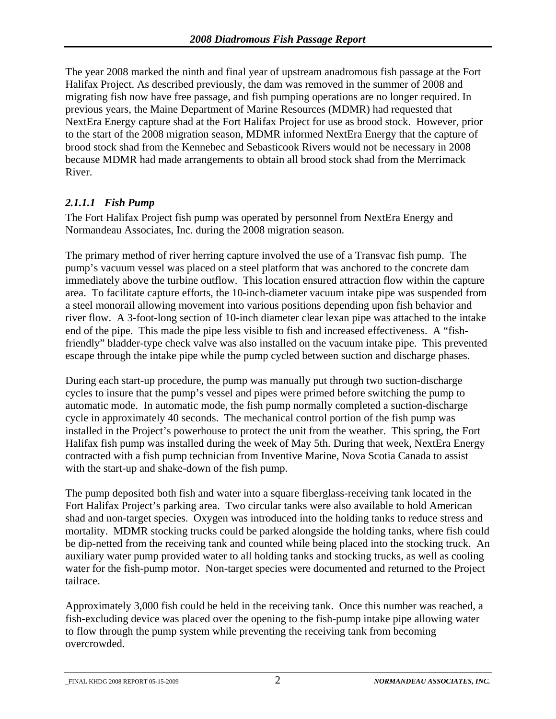<span id="page-5-0"></span>The year 2008 marked the ninth and final year of upstream anadromous fish passage at the Fort Halifax Project. As described previously, the dam was removed in the summer of 2008 and migrating fish now have free passage, and fish pumping operations are no longer required. In previous years, the Maine Department of Marine Resources (MDMR) had requested that NextEra Energy capture shad at the Fort Halifax Project for use as brood stock. However, prior to the start of the 2008 migration season, MDMR informed NextEra Energy that the capture of brood stock shad from the Kennebec and Sebasticook Rivers would not be necessary in 2008 because MDMR had made arrangements to obtain all brood stock shad from the Merrimack River.

#### *2.1.1.1 Fish Pump*

The Fort Halifax Project fish pump was operated by personnel from NextEra Energy and Normandeau Associates, Inc. during the 2008 migration season.

The primary method of river herring capture involved the use of a Transvac fish pump. The pump's vacuum vessel was placed on a steel platform that was anchored to the concrete dam immediately above the turbine outflow. This location ensured attraction flow within the capture area. To facilitate capture efforts, the 10-inch-diameter vacuum intake pipe was suspended from a steel monorail allowing movement into various positions depending upon fish behavior and river flow. A 3-foot-long section of 10-inch diameter clear lexan pipe was attached to the intake end of the pipe. This made the pipe less visible to fish and increased effectiveness. A "fishfriendly" bladder-type check valve was also installed on the vacuum intake pipe. This prevented escape through the intake pipe while the pump cycled between suction and discharge phases.

During each start-up procedure, the pump was manually put through two suction-discharge cycles to insure that the pump's vessel and pipes were primed before switching the pump to automatic mode. In automatic mode, the fish pump normally completed a suction-discharge cycle in approximately 40 seconds. The mechanical control portion of the fish pump was installed in the Project's powerhouse to protect the unit from the weather. This spring, the Fort Halifax fish pump was installed during the week of May 5th. During that week, NextEra Energy contracted with a fish pump technician from Inventive Marine, Nova Scotia Canada to assist with the start-up and shake-down of the fish pump.

The pump deposited both fish and water into a square fiberglass-receiving tank located in the Fort Halifax Project's parking area. Two circular tanks were also available to hold American shad and non-target species. Oxygen was introduced into the holding tanks to reduce stress and mortality. MDMR stocking trucks could be parked alongside the holding tanks, where fish could be dip-netted from the receiving tank and counted while being placed into the stocking truck. An auxiliary water pump provided water to all holding tanks and stocking trucks, as well as cooling water for the fish-pump motor. Non-target species were documented and returned to the Project tailrace.

Approximately 3,000 fish could be held in the receiving tank. Once this number was reached, a fish-excluding device was placed over the opening to the fish-pump intake pipe allowing water to flow through the pump system while preventing the receiving tank from becoming overcrowded.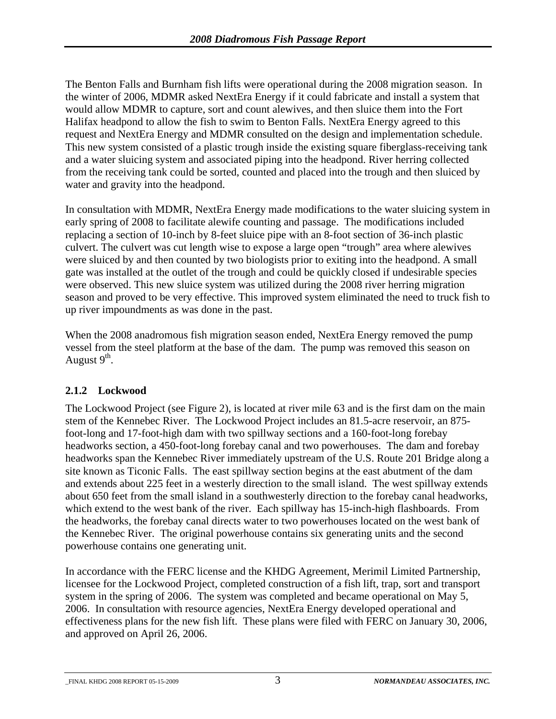<span id="page-6-0"></span>The Benton Falls and Burnham fish lifts were operational during the 2008 migration season. In the winter of 2006, MDMR asked NextEra Energy if it could fabricate and install a system that would allow MDMR to capture, sort and count alewives, and then sluice them into the Fort Halifax headpond to allow the fish to swim to Benton Falls. NextEra Energy agreed to this request and NextEra Energy and MDMR consulted on the design and implementation schedule. This new system consisted of a plastic trough inside the existing square fiberglass-receiving tank and a water sluicing system and associated piping into the headpond. River herring collected from the receiving tank could be sorted, counted and placed into the trough and then sluiced by water and gravity into the headpond.

In consultation with MDMR, NextEra Energy made modifications to the water sluicing system in early spring of 2008 to facilitate alewife counting and passage. The modifications included replacing a section of 10-inch by 8-feet sluice pipe with an 8-foot section of 36-inch plastic culvert. The culvert was cut length wise to expose a large open "trough" area where alewives were sluiced by and then counted by two biologists prior to exiting into the headpond. A small gate was installed at the outlet of the trough and could be quickly closed if undesirable species were observed. This new sluice system was utilized during the 2008 river herring migration season and proved to be very effective. This improved system eliminated the need to truck fish to up river impoundments as was done in the past.

When the 2008 anadromous fish migration season ended, NextEra Energy removed the pump vessel from the steel platform at the base of the dam. The pump was removed this season on August  $9<sup>th</sup>$ .

### **2.1.2 Lockwood**

The Lockwood Project (see Figure 2), is located at river mile 63 and is the first dam on the main stem of the Kennebec River. The Lockwood Project includes an 81.5-acre reservoir, an 875 foot-long and 17-foot-high dam with two spillway sections and a 160-foot-long forebay headworks section, a 450-foot-long forebay canal and two powerhouses. The dam and forebay headworks span the Kennebec River immediately upstream of the U.S. Route 201 Bridge along a site known as Ticonic Falls. The east spillway section begins at the east abutment of the dam and extends about 225 feet in a westerly direction to the small island. The west spillway extends about 650 feet from the small island in a southwesterly direction to the forebay canal headworks, which extend to the west bank of the river. Each spillway has 15-inch-high flashboards. From the headworks, the forebay canal directs water to two powerhouses located on the west bank of the Kennebec River. The original powerhouse contains six generating units and the second powerhouse contains one generating unit.

In accordance with the FERC license and the KHDG Agreement, Merimil Limited Partnership, licensee for the Lockwood Project, completed construction of a fish lift, trap, sort and transport system in the spring of 2006. The system was completed and became operational on May 5, 2006. In consultation with resource agencies, NextEra Energy developed operational and effectiveness plans for the new fish lift. These plans were filed with FERC on January 30, 2006, and approved on April 26, 2006.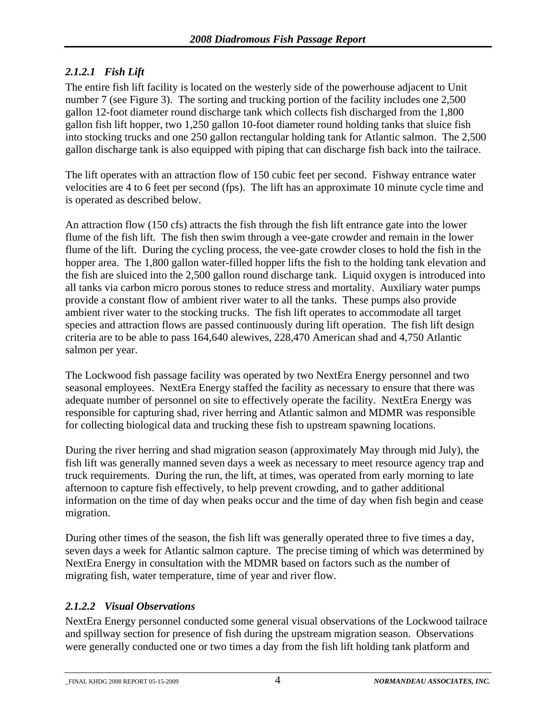### <span id="page-7-0"></span>*2.1.2.1 Fish Lift*

The entire fish lift facility is located on the westerly side of the powerhouse adjacent to Unit number 7 (see Figure 3). The sorting and trucking portion of the facility includes one 2,500 gallon 12-foot diameter round discharge tank which collects fish discharged from the 1,800 gallon fish lift hopper, two 1,250 gallon 10-foot diameter round holding tanks that sluice fish into stocking trucks and one 250 gallon rectangular holding tank for Atlantic salmon. The 2,500 gallon discharge tank is also equipped with piping that can discharge fish back into the tailrace.

The lift operates with an attraction flow of 150 cubic feet per second. Fishway entrance water velocities are 4 to 6 feet per second (fps). The lift has an approximate 10 minute cycle time and is operated as described below.

An attraction flow (150 cfs) attracts the fish through the fish lift entrance gate into the lower flume of the fish lift. The fish then swim through a vee-gate crowder and remain in the lower flume of the lift. During the cycling process, the vee-gate crowder closes to hold the fish in the hopper area. The 1,800 gallon water-filled hopper lifts the fish to the holding tank elevation and the fish are sluiced into the 2,500 gallon round discharge tank. Liquid oxygen is introduced into all tanks via carbon micro porous stones to reduce stress and mortality. Auxiliary water pumps provide a constant flow of ambient river water to all the tanks. These pumps also provide ambient river water to the stocking trucks. The fish lift operates to accommodate all target species and attraction flows are passed continuously during lift operation. The fish lift design criteria are to be able to pass 164,640 alewives, 228,470 American shad and 4,750 Atlantic salmon per year.

The Lockwood fish passage facility was operated by two NextEra Energy personnel and two seasonal employees. NextEra Energy staffed the facility as necessary to ensure that there was adequate number of personnel on site to effectively operate the facility. NextEra Energy was responsible for capturing shad, river herring and Atlantic salmon and MDMR was responsible for collecting biological data and trucking these fish to upstream spawning locations.

During the river herring and shad migration season (approximately May through mid July), the fish lift was generally manned seven days a week as necessary to meet resource agency trap and truck requirements. During the run, the lift, at times, was operated from early morning to late afternoon to capture fish effectively, to help prevent crowding, and to gather additional information on the time of day when peaks occur and the time of day when fish begin and cease migration.

During other times of the season, the fish lift was generally operated three to five times a day, seven days a week for Atlantic salmon capture. The precise timing of which was determined by NextEra Energy in consultation with the MDMR based on factors such as the number of migrating fish, water temperature, time of year and river flow.

#### *2.1.2.2 Visual Observations*

NextEra Energy personnel conducted some general visual observations of the Lockwood tailrace and spillway section for presence of fish during the upstream migration season. Observations were generally conducted one or two times a day from the fish lift holding tank platform and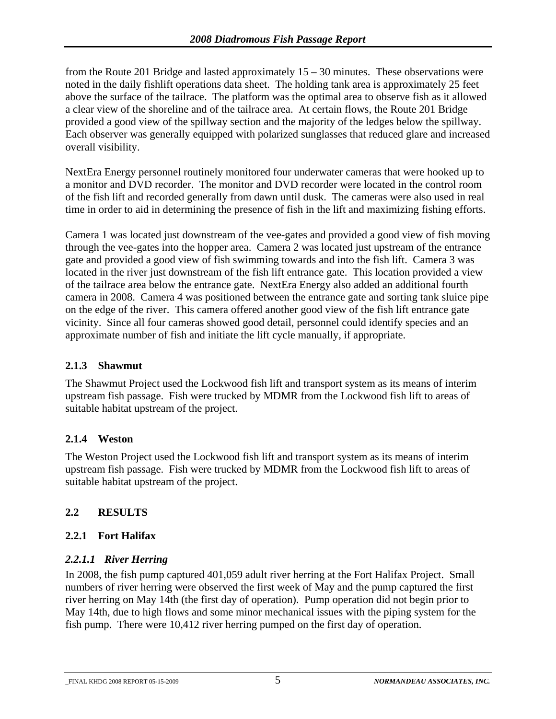<span id="page-8-0"></span>from the Route 201 Bridge and lasted approximately 15 – 30 minutes. These observations were noted in the daily fishlift operations data sheet. The holding tank area is approximately 25 feet above the surface of the tailrace. The platform was the optimal area to observe fish as it allowed a clear view of the shoreline and of the tailrace area. At certain flows, the Route 201 Bridge provided a good view of the spillway section and the majority of the ledges below the spillway. Each observer was generally equipped with polarized sunglasses that reduced glare and increased overall visibility.

NextEra Energy personnel routinely monitored four underwater cameras that were hooked up to a monitor and DVD recorder. The monitor and DVD recorder were located in the control room of the fish lift and recorded generally from dawn until dusk. The cameras were also used in real time in order to aid in determining the presence of fish in the lift and maximizing fishing efforts.

Camera 1 was located just downstream of the vee-gates and provided a good view of fish moving through the vee-gates into the hopper area. Camera 2 was located just upstream of the entrance gate and provided a good view of fish swimming towards and into the fish lift. Camera 3 was located in the river just downstream of the fish lift entrance gate. This location provided a view of the tailrace area below the entrance gate. NextEra Energy also added an additional fourth camera in 2008. Camera 4 was positioned between the entrance gate and sorting tank sluice pipe on the edge of the river. This camera offered another good view of the fish lift entrance gate vicinity. Since all four cameras showed good detail, personnel could identify species and an approximate number of fish and initiate the lift cycle manually, if appropriate.

#### **2.1.3 Shawmut**

The Shawmut Project used the Lockwood fish lift and transport system as its means of interim upstream fish passage. Fish were trucked by MDMR from the Lockwood fish lift to areas of suitable habitat upstream of the project.

#### **2.1.4 Weston**

The Weston Project used the Lockwood fish lift and transport system as its means of interim upstream fish passage. Fish were trucked by MDMR from the Lockwood fish lift to areas of suitable habitat upstream of the project.

#### **2.2 RESULTS**

#### **2.2.1 Fort Halifax**

#### *2.2.1.1 River Herring*

In 2008, the fish pump captured 401,059 adult river herring at the Fort Halifax Project. Small numbers of river herring were observed the first week of May and the pump captured the first river herring on May 14th (the first day of operation). Pump operation did not begin prior to May 14th, due to high flows and some minor mechanical issues with the piping system for the fish pump. There were 10,412 river herring pumped on the first day of operation.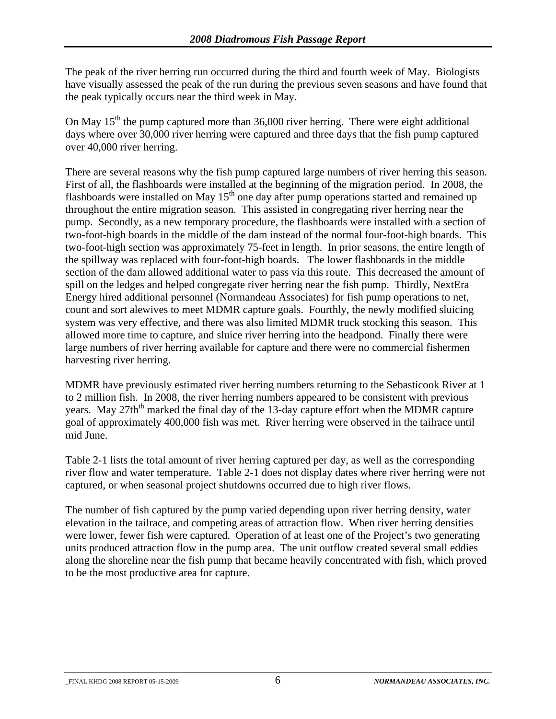The peak of the river herring run occurred during the third and fourth week of May. Biologists have visually assessed the peak of the run during the previous seven seasons and have found that the peak typically occurs near the third week in May.

On May  $15<sup>th</sup>$  the pump captured more than 36,000 river herring. There were eight additional days where over 30,000 river herring were captured and three days that the fish pump captured over 40,000 river herring.

There are several reasons why the fish pump captured large numbers of river herring this season. First of all, the flashboards were installed at the beginning of the migration period. In 2008, the flashboards were installed on May  $15<sup>th</sup>$  one day after pump operations started and remained up throughout the entire migration season. This assisted in congregating river herring near the pump. Secondly, as a new temporary procedure, the flashboards were installed with a section of two-foot-high boards in the middle of the dam instead of the normal four-foot-high boards. This two-foot-high section was approximately 75-feet in length. In prior seasons, the entire length of the spillway was replaced with four-foot-high boards. The lower flashboards in the middle section of the dam allowed additional water to pass via this route. This decreased the amount of spill on the ledges and helped congregate river herring near the fish pump. Thirdly, NextEra Energy hired additional personnel (Normandeau Associates) for fish pump operations to net, count and sort alewives to meet MDMR capture goals. Fourthly, the newly modified sluicing system was very effective, and there was also limited MDMR truck stocking this season. This allowed more time to capture, and sluice river herring into the headpond. Finally there were large numbers of river herring available for capture and there were no commercial fishermen harvesting river herring.

MDMR have previously estimated river herring numbers returning to the Sebasticook River at 1 to 2 million fish. In 2008, the river herring numbers appeared to be consistent with previous years. May 27th<sup>th</sup> marked the final day of the 13-day capture effort when the MDMR capture goal of approximately 400,000 fish was met. River herring were observed in the tailrace until mid June.

Table 2-1 lists the total amount of river herring captured per day, as well as the corresponding river flow and water temperature. Table 2-1 does not display dates where river herring were not captured, or when seasonal project shutdowns occurred due to high river flows.

The number of fish captured by the pump varied depending upon river herring density, water elevation in the tailrace, and competing areas of attraction flow. When river herring densities were lower, fewer fish were captured. Operation of at least one of the Project's two generating units produced attraction flow in the pump area. The unit outflow created several small eddies along the shoreline near the fish pump that became heavily concentrated with fish, which proved to be the most productive area for capture.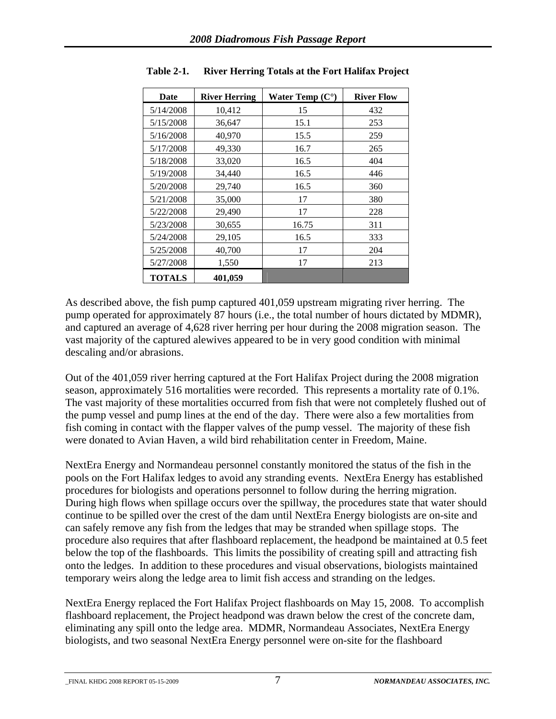| Date          | <b>River Herring</b> | Water Temp $(C^{\circ})$ | <b>River Flow</b> |
|---------------|----------------------|--------------------------|-------------------|
| 5/14/2008     | 10,412               | 15                       | 432               |
| 5/15/2008     | 36,647               | 15.1                     | 253               |
| 5/16/2008     | 40,970               | 15.5                     | 259               |
| 5/17/2008     | 49,330               | 16.7                     | 265               |
| 5/18/2008     | 33,020               | 16.5                     | 404               |
| 5/19/2008     | 34,440               | 16.5                     | 446               |
| 5/20/2008     | 29,740               | 16.5                     | 360               |
| 5/21/2008     | 35,000               | 17                       | 380               |
| 5/22/2008     | 29,490               | 17                       | 228               |
| 5/23/2008     | 30,655               | 16.75                    | 311               |
| 5/24/2008     | 29,105               | 16.5                     | 333               |
| 5/25/2008     | 40,700               | 17                       | 204               |
| 5/27/2008     | 1,550                | 17                       | 213               |
| <b>TOTALS</b> | 401,059              |                          |                   |

<span id="page-10-0"></span>**Table 2-1. River Herring Totals at the Fort Halifax Project**

As described above, the fish pump captured 401,059 upstream migrating river herring. The pump operated for approximately 87 hours (i.e., the total number of hours dictated by MDMR), and captured an average of 4,628 river herring per hour during the 2008 migration season. The vast majority of the captured alewives appeared to be in very good condition with minimal descaling and/or abrasions.

Out of the 401,059 river herring captured at the Fort Halifax Project during the 2008 migration season, approximately 516 mortalities were recorded. This represents a mortality rate of 0.1%. The vast majority of these mortalities occurred from fish that were not completely flushed out of the pump vessel and pump lines at the end of the day. There were also a few mortalities from fish coming in contact with the flapper valves of the pump vessel. The majority of these fish were donated to Avian Haven, a wild bird rehabilitation center in Freedom, Maine.

NextEra Energy and Normandeau personnel constantly monitored the status of the fish in the pools on the Fort Halifax ledges to avoid any stranding events. NextEra Energy has established procedures for biologists and operations personnel to follow during the herring migration. During high flows when spillage occurs over the spillway, the procedures state that water should continue to be spilled over the crest of the dam until NextEra Energy biologists are on-site and can safely remove any fish from the ledges that may be stranded when spillage stops. The procedure also requires that after flashboard replacement, the headpond be maintained at 0.5 feet below the top of the flashboards. This limits the possibility of creating spill and attracting fish onto the ledges. In addition to these procedures and visual observations, biologists maintained temporary weirs along the ledge area to limit fish access and stranding on the ledges.

NextEra Energy replaced the Fort Halifax Project flashboards on May 15, 2008. To accomplish flashboard replacement, the Project headpond was drawn below the crest of the concrete dam, eliminating any spill onto the ledge area. MDMR, Normandeau Associates, NextEra Energy biologists, and two seasonal NextEra Energy personnel were on-site for the flashboard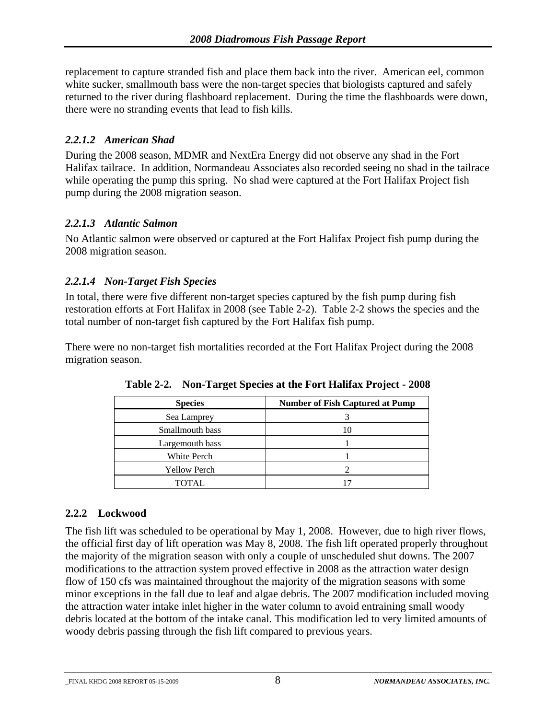<span id="page-11-0"></span>replacement to capture stranded fish and place them back into the river. American eel, common white sucker, smallmouth bass were the non-target species that biologists captured and safely returned to the river during flashboard replacement. During the time the flashboards were down, there were no stranding events that lead to fish kills.

#### *2.2.1.2 American Shad*

During the 2008 season, MDMR and NextEra Energy did not observe any shad in the Fort Halifax tailrace. In addition, Normandeau Associates also recorded seeing no shad in the tailrace while operating the pump this spring. No shad were captured at the Fort Halifax Project fish pump during the 2008 migration season.

#### *2.2.1.3 Atlantic Salmon*

No Atlantic salmon were observed or captured at the Fort Halifax Project fish pump during the 2008 migration season.

#### *2.2.1.4 Non-Target Fish Species*

In total, there were five different non-target species captured by the fish pump during fish restoration efforts at Fort Halifax in 2008 (see Table 2-2). Table 2-2 shows the species and the total number of non-target fish captured by the Fort Halifax fish pump.

There were no non-target fish mortalities recorded at the Fort Halifax Project during the 2008 migration season.

| <b>Species</b>      | <b>Number of Fish Captured at Pump</b> |
|---------------------|----------------------------------------|
| Sea Lamprey         |                                        |
| Smallmouth bass     |                                        |
| Largemouth bass     |                                        |
| White Perch         |                                        |
| <b>Yellow Perch</b> |                                        |
| <b>TOTAL</b>        |                                        |

**Table 2-2. Non-Target Species at the Fort Halifax Project - 2008** 

#### **2.2.2 Lockwood**

The fish lift was scheduled to be operational by May 1, 2008. However, due to high river flows, the official first day of lift operation was May 8, 2008. The fish lift operated properly throughout the majority of the migration season with only a couple of unscheduled shut downs. The 2007 modifications to the attraction system proved effective in 2008 as the attraction water design flow of 150 cfs was maintained throughout the majority of the migration seasons with some minor exceptions in the fall due to leaf and algae debris. The 2007 modification included moving the attraction water intake inlet higher in the water column to avoid entraining small woody debris located at the bottom of the intake canal. This modification led to very limited amounts of woody debris passing through the fish lift compared to previous years.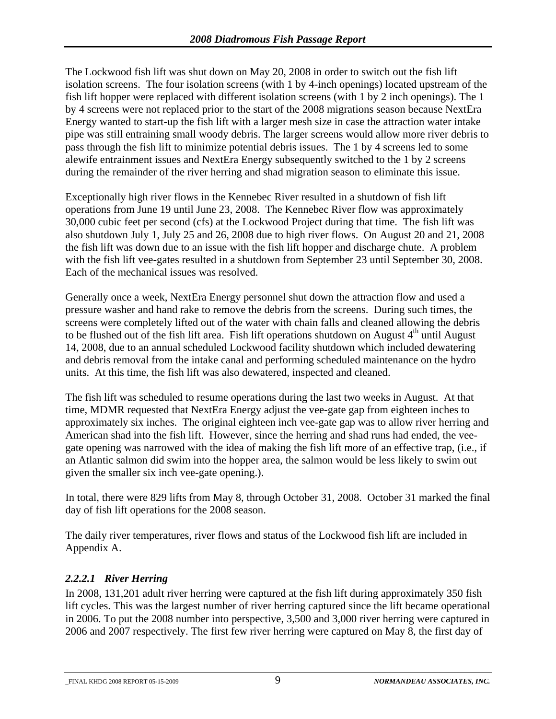<span id="page-12-0"></span>The Lockwood fish lift was shut down on May 20, 2008 in order to switch out the fish lift isolation screens. The four isolation screens (with 1 by 4-inch openings) located upstream of the fish lift hopper were replaced with different isolation screens (with 1 by 2 inch openings). The 1 by 4 screens were not replaced prior to the start of the 2008 migrations season because NextEra Energy wanted to start-up the fish lift with a larger mesh size in case the attraction water intake pipe was still entraining small woody debris. The larger screens would allow more river debris to pass through the fish lift to minimize potential debris issues. The 1 by 4 screens led to some alewife entrainment issues and NextEra Energy subsequently switched to the 1 by 2 screens during the remainder of the river herring and shad migration season to eliminate this issue.

Exceptionally high river flows in the Kennebec River resulted in a shutdown of fish lift operations from June 19 until June 23, 2008. The Kennebec River flow was approximately 30,000 cubic feet per second (cfs) at the Lockwood Project during that time. The fish lift was also shutdown July 1, July 25 and 26, 2008 due to high river flows. On August 20 and 21, 2008 the fish lift was down due to an issue with the fish lift hopper and discharge chute. A problem with the fish lift vee-gates resulted in a shutdown from September 23 until September 30, 2008. Each of the mechanical issues was resolved.

Generally once a week, NextEra Energy personnel shut down the attraction flow and used a pressure washer and hand rake to remove the debris from the screens. During such times, the screens were completely lifted out of the water with chain falls and cleaned allowing the debris to be flushed out of the fish lift area. Fish lift operations shutdown on August  $4<sup>th</sup>$  until August 14, 2008, due to an annual scheduled Lockwood facility shutdown which included dewatering and debris removal from the intake canal and performing scheduled maintenance on the hydro units. At this time, the fish lift was also dewatered, inspected and cleaned.

The fish lift was scheduled to resume operations during the last two weeks in August. At that time, MDMR requested that NextEra Energy adjust the vee-gate gap from eighteen inches to approximately six inches. The original eighteen inch vee-gate gap was to allow river herring and American shad into the fish lift. However, since the herring and shad runs had ended, the veegate opening was narrowed with the idea of making the fish lift more of an effective trap, (i.e., if an Atlantic salmon did swim into the hopper area, the salmon would be less likely to swim out given the smaller six inch vee-gate opening.).

In total, there were 829 lifts from May 8, through October 31, 2008. October 31 marked the final day of fish lift operations for the 2008 season.

The daily river temperatures, river flows and status of the Lockwood fish lift are included in Appendix A.

#### *2.2.2.1 River Herring*

In 2008, 131,201 adult river herring were captured at the fish lift during approximately 350 fish lift cycles. This was the largest number of river herring captured since the lift became operational in 2006. To put the 2008 number into perspective, 3,500 and 3,000 river herring were captured in 2006 and 2007 respectively. The first few river herring were captured on May 8, the first day of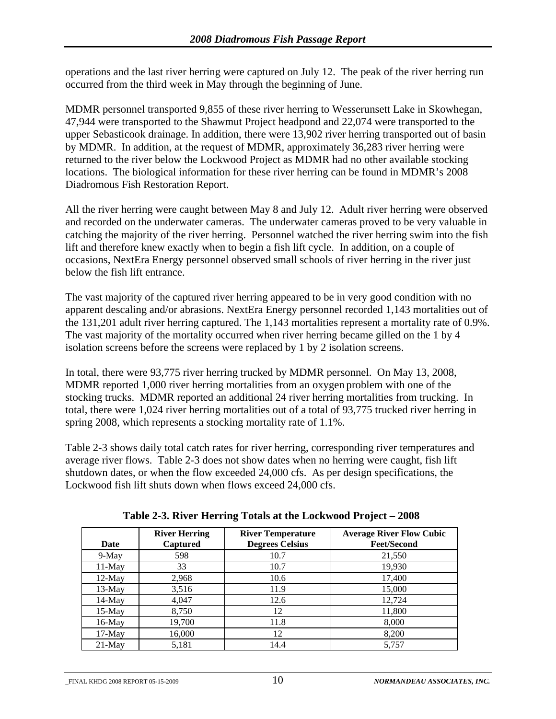<span id="page-13-0"></span>operations and the last river herring were captured on July 12. The peak of the river herring run occurred from the third week in May through the beginning of June.

MDMR personnel transported 9,855 of these river herring to Wesserunsett Lake in Skowhegan, 47,944 were transported to the Shawmut Project headpond and 22,074 were transported to the upper Sebasticook drainage. In addition, there were 13,902 river herring transported out of basin by MDMR. In addition, at the request of MDMR, approximately 36,283 river herring were returned to the river below the Lockwood Project as MDMR had no other available stocking locations. The biological information for these river herring can be found in MDMR's 2008 Diadromous Fish Restoration Report.

All the river herring were caught between May 8 and July 12. Adult river herring were observed and recorded on the underwater cameras. The underwater cameras proved to be very valuable in catching the majority of the river herring. Personnel watched the river herring swim into the fish lift and therefore knew exactly when to begin a fish lift cycle. In addition, on a couple of occasions, NextEra Energy personnel observed small schools of river herring in the river just below the fish lift entrance.

The vast majority of the captured river herring appeared to be in very good condition with no apparent descaling and/or abrasions. NextEra Energy personnel recorded 1,143 mortalities out of the 131,201 adult river herring captured. The 1,143 mortalities represent a mortality rate of 0.9%. The vast majority of the mortality occurred when river herring became gilled on the 1 by 4 isolation screens before the screens were replaced by 1 by 2 isolation screens.

In total, there were 93,775 river herring trucked by MDMR personnel. On May 13, 2008, MDMR reported 1,000 river herring mortalities from an oxygen problem with one of the stocking trucks. MDMR reported an additional 24 river herring mortalities from trucking. In total, there were 1,024 river herring mortalities out of a total of 93,775 trucked river herring in spring 2008, which represents a stocking mortality rate of 1.1%.

Table 2-3 shows daily total catch rates for river herring, corresponding river temperatures and average river flows. Table 2-3 does not show dates when no herring were caught, fish lift shutdown dates, or when the flow exceeded 24,000 cfs. As per design specifications, the Lockwood fish lift shuts down when flows exceed 24,000 cfs.

| Date      | <b>River Herring</b><br>Captured | <b>River Temperature</b><br><b>Degrees Celsius</b> | <b>Average River Flow Cubic</b><br><b>Feet/Second</b> |
|-----------|----------------------------------|----------------------------------------------------|-------------------------------------------------------|
| $9-Mav$   | 598                              | 10.7                                               | 21,550                                                |
| $11-May$  | 33                               | 10.7                                               | 19,930                                                |
| $12$ -May | 2,968                            | 10.6                                               | 17,400                                                |
| $13-Mav$  | 3,516                            | 11.9                                               | 15,000                                                |
| $14$ -May | 4.047                            | 12.6                                               | 12,724                                                |
| $15$ -May | 8,750                            | 12                                                 | 11,800                                                |
| $16$ -May | 19,700                           | 11.8                                               | 8,000                                                 |
| $17-May$  | 16,000                           | 12                                                 | 8,200                                                 |
| $21$ -May | 5,181                            | 14.4                                               | 5,757                                                 |

**Table 2-3. River Herring Totals at the Lockwood Project – 2008**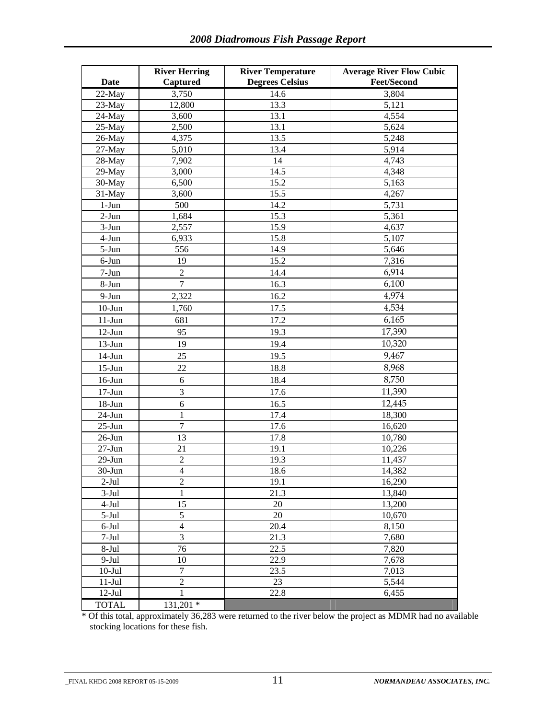| <b>Date</b>         | <b>River Herring</b><br>Captured | <b>River Temperature</b><br><b>Degrees Celsius</b> | <b>Average River Flow Cubic</b><br><b>Feet/Second</b> |
|---------------------|----------------------------------|----------------------------------------------------|-------------------------------------------------------|
| 22-May              | 3,750                            | 14.6                                               | 3,804                                                 |
| 23-May              | 12,800                           | 13.3                                               | 5,121                                                 |
| 24-May              | 3,600                            | 13.1                                               | 4,554                                                 |
| 25-May              | 2,500                            | 13.1                                               | 5,624                                                 |
| 26-May              | 4,375                            | 13.5                                               | 5,248                                                 |
| 27-May              | 5,010                            | 13.4                                               | 5,914                                                 |
| 28-May              | 7,902                            | 14                                                 | 4,743                                                 |
| 29-May              | 3,000                            | 14.5                                               | 4,348                                                 |
| 30-May              | 6,500                            | 15.2                                               | 5,163                                                 |
| 31-May              | 3,600                            | 15.5                                               | 4,267                                                 |
| $1-Jun$             | 500                              | 14.2                                               | 5,731                                                 |
| $2-Jun$             | 1,684                            | 15.3                                               | 5,361                                                 |
| $\overline{3}$ -Jun | 2,557                            | 15.9                                               | 4,637                                                 |
| 4-Jun               | 6,933                            | 15.8                                               | 5,107                                                 |
| 5-Jun               | 556                              | 14.9                                               | 5,646                                                 |
| 6-Jun               | 19                               | 15.2                                               | 7,316                                                 |
|                     |                                  |                                                    |                                                       |
| 7-Jun               | $\sqrt{2}$                       | 14.4                                               | 6,914                                                 |
| 8-Jun               | $\boldsymbol{7}$                 | 16.3                                               | 6,100                                                 |
| $9-Jun$             | 2,322                            | 16.2                                               | 4,974                                                 |
| $10 - Jun$          | 1,760                            | 17.5                                               | 4,534                                                 |
| $11-Jun$            | 681                              | 17.2                                               | 6,165                                                 |
| $12-Jun$            | 95                               | 19.3                                               | 17,390                                                |
| $13-Jun$            | 19                               | 19.4                                               | 10,320                                                |
| $14-Jun$            | 25                               | 19.5                                               | 9,467                                                 |
| $15$ -Jun           | 22                               | 18.8                                               | 8,968                                                 |
| $16$ -Jun           | 6                                | 18.4                                               | 8,750                                                 |
| $17 - Jun$          | $\mathfrak{Z}$                   | 17.6                                               | 11,390                                                |
| $18 - Jun$          | 6                                | 16.5                                               | 12,445                                                |
| $24$ -Jun           | 1                                | 17.4                                               | 18,300                                                |
| $25 - Jun$          | $\overline{7}$                   | 17.6                                               | 16,620                                                |
| $26$ -Jun           | 13                               | 17.8                                               | 10,780                                                |
| $27 - Jun$          | 21                               | 19.1                                               | 10,226                                                |
| $29-Jun$            | $\boldsymbol{2}$                 | 19.3                                               | 11,437                                                |
| 30-Jun              | $\overline{4}$                   | 18.6                                               | 14,382                                                |
| $2-Jul$             | $\overline{2}$                   | 19.1                                               | 16,290                                                |
| $3-Jul$             | 1                                | 21.3                                               | 13,840                                                |
| $4-Jul$             | 15                               | 20                                                 | 13,200                                                |
| $5-Jul$             | $\mathfrak s$                    | 20                                                 | 10,670                                                |
| 6-Jul               | $\overline{4}$                   | 20.4                                               | 8,150                                                 |
| $\overline{7}$ -Jul | $\overline{3}$                   | 21.3                                               | 7,680                                                 |
| $8-Jul$             | 76                               | 22.5                                               | 7,820                                                 |
| $9-Jul$             | 10                               | 22.9                                               | 7,678                                                 |
| $10-Jul$            | $\tau$                           | 23.5                                               | 7,013                                                 |
| $11-Jul$            | $\overline{2}$                   | 23                                                 | 5,544                                                 |
| $12-Jul$            | 1                                | 22.8                                               | 6,455                                                 |
| <b>TOTAL</b>        | 131,201 *                        |                                                    |                                                       |

\* Of this total, approximately 36,283 were returned to the river below the project as MDMR had no available stocking locations for these fish.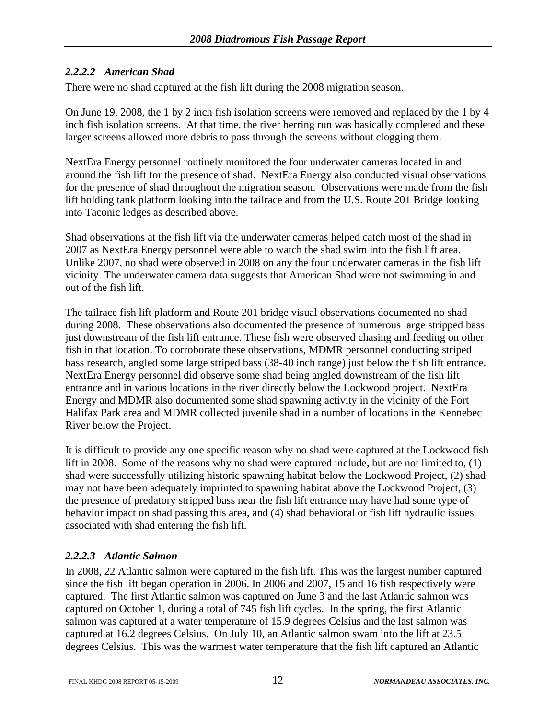### <span id="page-15-0"></span>*2.2.2.2 American Shad*

There were no shad captured at the fish lift during the 2008 migration season.

On June 19, 2008, the 1 by 2 inch fish isolation screens were removed and replaced by the 1 by 4 inch fish isolation screens. At that time, the river herring run was basically completed and these larger screens allowed more debris to pass through the screens without clogging them.

NextEra Energy personnel routinely monitored the four underwater cameras located in and around the fish lift for the presence of shad. NextEra Energy also conducted visual observations for the presence of shad throughout the migration season. Observations were made from the fish lift holding tank platform looking into the tailrace and from the U.S. Route 201 Bridge looking into Taconic ledges as described above.

Shad observations at the fish lift via the underwater cameras helped catch most of the shad in 2007 as NextEra Energy personnel were able to watch the shad swim into the fish lift area. Unlike 2007, no shad were observed in 2008 on any the four underwater cameras in the fish lift vicinity. The underwater camera data suggests that American Shad were not swimming in and out of the fish lift.

The tailrace fish lift platform and Route 201 bridge visual observations documented no shad during 2008. These observations also documented the presence of numerous large stripped bass just downstream of the fish lift entrance. These fish were observed chasing and feeding on other fish in that location. To corroborate these observations, MDMR personnel conducting striped bass research, angled some large striped bass (38-40 inch range) just below the fish lift entrance. NextEra Energy personnel did observe some shad being angled downstream of the fish lift entrance and in various locations in the river directly below the Lockwood project. NextEra Energy and MDMR also documented some shad spawning activity in the vicinity of the Fort Halifax Park area and MDMR collected juvenile shad in a number of locations in the Kennebec River below the Project.

It is difficult to provide any one specific reason why no shad were captured at the Lockwood fish lift in 2008. Some of the reasons why no shad were captured include, but are not limited to, (1) shad were successfully utilizing historic spawning habitat below the Lockwood Project, (2) shad may not have been adequately imprinted to spawning habitat above the Lockwood Project, (3) the presence of predatory stripped bass near the fish lift entrance may have had some type of behavior impact on shad passing this area, and (4) shad behavioral or fish lift hydraulic issues associated with shad entering the fish lift.

### *2.2.2.3 Atlantic Salmon*

In 2008, 22 Atlantic salmon were captured in the fish lift. This was the largest number captured since the fish lift began operation in 2006. In 2006 and 2007, 15 and 16 fish respectively were captured. The first Atlantic salmon was captured on June 3 and the last Atlantic salmon was captured on October 1, during a total of 745 fish lift cycles. In the spring, the first Atlantic salmon was captured at a water temperature of 15.9 degrees Celsius and the last salmon was captured at 16.2 degrees Celsius. On July 10, an Atlantic salmon swam into the lift at 23.5 degrees Celsius. This was the warmest water temperature that the fish lift captured an Atlantic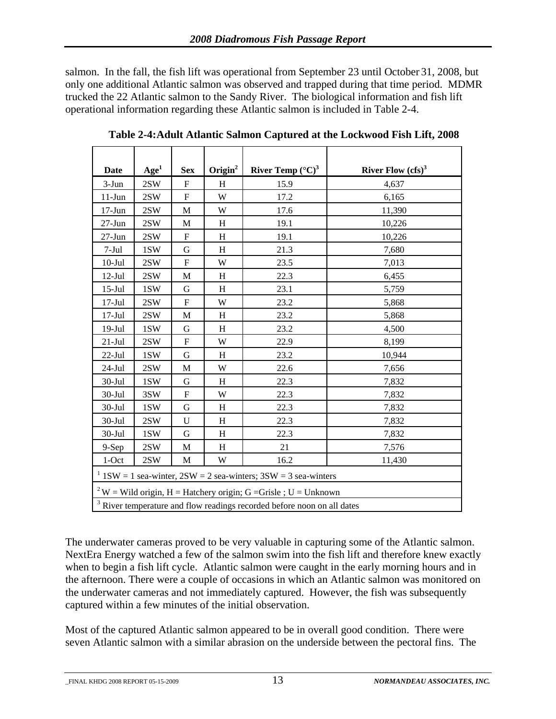<span id="page-16-0"></span>salmon. In the fall, the fish lift was operational from September 23 until October 31, 2008, but only one additional Atlantic salmon was observed and trapped during that time period. MDMR trucked the 22 Atlantic salmon to the Sandy River. The biological information and fish lift operational information regarding these Atlantic salmon is included in Table 2-4.

| <b>Date</b>                                                                 | Age <sup>1</sup> | <b>Sex</b>                | $O$ rigin <sup>2</sup>  | River Temp $({}^{\circ}C)^{3}$                                                     | River Flow $(cfs)^3$ |
|-----------------------------------------------------------------------------|------------------|---------------------------|-------------------------|------------------------------------------------------------------------------------|----------------------|
| $3-Jun$                                                                     | 2SW              | ${\bf F}$                 | H                       | 15.9                                                                               | 4,637                |
| $11-Jun$                                                                    | 2SW              | $\overline{\mathrm{F}}$   | $\ensuremath{\text{W}}$ | 17.2                                                                               | 6,165                |
| $17-Jun$                                                                    | 2SW              | M                         | W                       | 17.6                                                                               | 11,390               |
| $27 - Jun$                                                                  | 2SW              | M                         | H                       | 19.1                                                                               | 10,226               |
| $27-Jun$                                                                    | 2SW              | F                         | H                       | 19.1                                                                               | 10,226               |
| $7-Jul$                                                                     | 1SW              | G                         | H                       | 21.3                                                                               | 7,680                |
| $10 -$ Jul                                                                  | $2\mathrm{SW}$   | ${\rm F}$                 | W                       | 23.5                                                                               | 7,013                |
| $12-Jul$                                                                    | 2SW              | $\mathbf M$               | H                       | 22.3                                                                               | 6,455                |
| $15$ -Jul                                                                   | 1SW              | G                         | H                       | 23.1                                                                               | 5,759                |
| $17-Jul$                                                                    | $2\mathrm{SW}$   | F                         | W                       | 23.2                                                                               | 5,868                |
| $17-Jul$                                                                    | 2SW              | M                         | H                       | 23.2                                                                               | 5,868                |
| $19-Jul$                                                                    | 1SW              | G                         | H                       | 23.2                                                                               | 4,500                |
| $21-Jul$                                                                    | 2SW              | F                         | W                       | 22.9                                                                               | 8,199                |
| $22$ -Jul                                                                   | 1SW              | G                         | H                       | 23.2                                                                               | 10,944               |
| $24-Jul$                                                                    | 2SW              | M                         | W                       | 22.6                                                                               | 7,656                |
| $30-Jul$                                                                    | 1SW              | $\mathbf G$               | H                       | 22.3                                                                               | 7,832                |
| $30 -$ Jul                                                                  | 3SW              | $\boldsymbol{\mathrm{F}}$ | W                       | 22.3                                                                               | 7,832                |
| $30-Jul$                                                                    | 1SW              | G                         | H                       | 22.3                                                                               | 7,832                |
| $30-Jul$                                                                    | 2SW              | U                         | H                       | 22.3                                                                               | 7,832                |
| $30 -$ Jul                                                                  | 1SW              | G                         | H                       | 22.3                                                                               | 7,832                |
| 9-Sep                                                                       | 2SW              | M                         | H                       | 21                                                                                 | 7,576                |
| $1$ -Oct                                                                    | 2SW              | M                         | W                       | 16.2                                                                               | 11,430               |
| $1$ 1SW = 1 sea-winter, 2SW = 2 sea-winters; 3SW = 3 sea-winters            |                  |                           |                         |                                                                                    |                      |
| <sup>2</sup> W = Wild origin, H = Hatchery origin; G = Grisle ; U = Unknown |                  |                           |                         |                                                                                    |                      |
|                                                                             |                  |                           |                         | <sup>3</sup> River temperature and flow readings recorded before noon on all dates |                      |

**Table 2-4: Adult Atlantic Salmon Captured at the Lockwood Fish Lift, 2008** 

The underwater cameras proved to be very valuable in capturing some of the Atlantic salmon. NextEra Energy watched a few of the salmon swim into the fish lift and therefore knew exactly when to begin a fish lift cycle. Atlantic salmon were caught in the early morning hours and in the afternoon. There were a couple of occasions in which an Atlantic salmon was monitored on the underwater cameras and not immediately captured. However, the fish was subsequently captured within a few minutes of the initial observation.

Most of the captured Atlantic salmon appeared to be in overall good condition. There were seven Atlantic salmon with a similar abrasion on the underside between the pectoral fins. The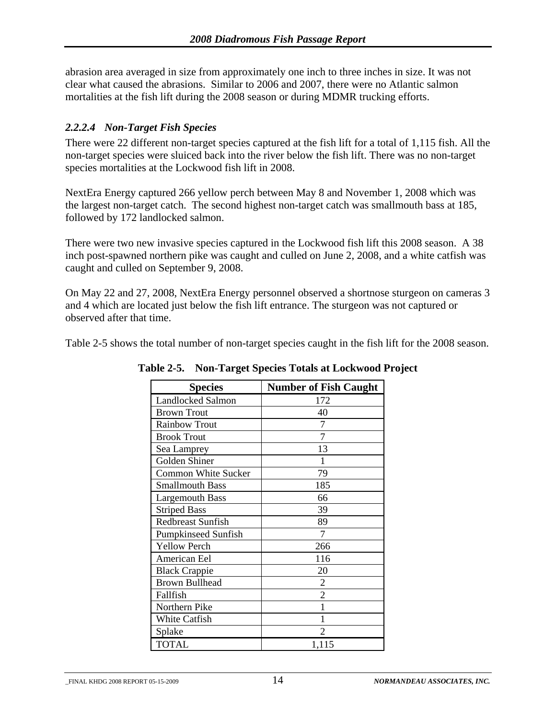<span id="page-17-0"></span>abrasion area averaged in size from approximately one inch to three inches in size. It was not clear what caused the abrasions. Similar to 2006 and 2007, there were no Atlantic salmon mortalities at the fish lift during the 2008 season or during MDMR trucking efforts.

#### *2.2.2.4 Non-Target Fish Species*

There were 22 different non-target species captured at the fish lift for a total of 1,115 fish. All the non-target species were sluiced back into the river below the fish lift. There was no non-target species mortalities at the Lockwood fish lift in 2008.

NextEra Energy captured 266 yellow perch between May 8 and November 1, 2008 which was the largest non-target catch. The second highest non-target catch was smallmouth bass at 185, followed by 172 landlocked salmon.

There were two new invasive species captured in the Lockwood fish lift this 2008 season. A 38 inch post-spawned northern pike was caught and culled on June 2, 2008, and a white catfish was caught and culled on September 9, 2008.

On May 22 and 27, 2008, NextEra Energy personnel observed a shortnose sturgeon on cameras 3 and 4 which are located just below the fish lift entrance. The sturgeon was not captured or observed after that time.

Table 2-5 shows the total number of non-target species caught in the fish lift for the 2008 season.

| <b>Species</b>             | <b>Number of Fish Caught</b> |
|----------------------------|------------------------------|
| <b>Landlocked Salmon</b>   | 172                          |
| <b>Brown Trout</b>         | 40                           |
| <b>Rainbow Trout</b>       | 7                            |
| <b>Brook Trout</b>         |                              |
| Sea Lamprey                | 13                           |
| Golden Shiner              |                              |
| <b>Common White Sucker</b> | 79                           |
| <b>Smallmouth Bass</b>     | 185                          |
| <b>Largemouth Bass</b>     | 66                           |
| <b>Striped Bass</b>        | 39                           |
| <b>Redbreast Sunfish</b>   | 89                           |
| <b>Pumpkinseed Sunfish</b> | 7                            |
| <b>Yellow Perch</b>        | 266                          |
| American Eel               | 116                          |
| <b>Black Crappie</b>       | 20                           |
| <b>Brown Bullhead</b>      | 2                            |
| Fallfish                   | 2                            |
| Northern Pike              |                              |
| White Catfish              | 1                            |
| Splake                     |                              |
| <b>TOTAL</b>               | 1,115                        |

**Table 2-5. Non-Target Species Totals at Lockwood Project**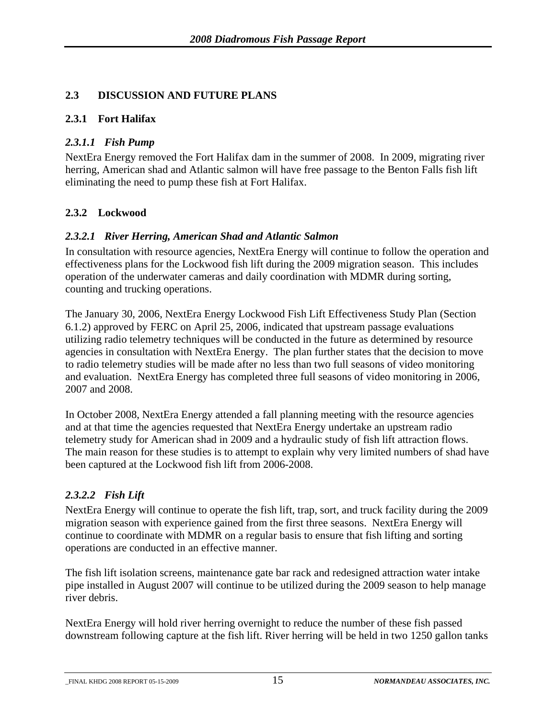#### <span id="page-18-0"></span>**2.3 DISCUSSION AND FUTURE PLANS**

#### **2.3.1 Fort Halifax**

#### *2.3.1.1 Fish Pump*

NextEra Energy removed the Fort Halifax dam in the summer of 2008. In 2009, migrating river herring, American shad and Atlantic salmon will have free passage to the Benton Falls fish lift eliminating the need to pump these fish at Fort Halifax.

#### **2.3.2 Lockwood**

#### *2.3.2.1 River Herring, American Shad and Atlantic Salmon*

In consultation with resource agencies, NextEra Energy will continue to follow the operation and effectiveness plans for the Lockwood fish lift during the 2009 migration season. This includes operation of the underwater cameras and daily coordination with MDMR during sorting, counting and trucking operations.

The January 30, 2006, NextEra Energy Lockwood Fish Lift Effectiveness Study Plan (Section 6.1.2) approved by FERC on April 25, 2006, indicated that upstream passage evaluations utilizing radio telemetry techniques will be conducted in the future as determined by resource agencies in consultation with NextEra Energy. The plan further states that the decision to move to radio telemetry studies will be made after no less than two full seasons of video monitoring and evaluation. NextEra Energy has completed three full seasons of video monitoring in 2006, 2007 and 2008.

In October 2008, NextEra Energy attended a fall planning meeting with the resource agencies and at that time the agencies requested that NextEra Energy undertake an upstream radio telemetry study for American shad in 2009 and a hydraulic study of fish lift attraction flows. The main reason for these studies is to attempt to explain why very limited numbers of shad have been captured at the Lockwood fish lift from 2006-2008.

#### *2.3.2.2 Fish Lift*

NextEra Energy will continue to operate the fish lift, trap, sort, and truck facility during the 2009 migration season with experience gained from the first three seasons. NextEra Energy will continue to coordinate with MDMR on a regular basis to ensure that fish lifting and sorting operations are conducted in an effective manner.

The fish lift isolation screens, maintenance gate bar rack and redesigned attraction water intake pipe installed in August 2007 will continue to be utilized during the 2009 season to help manage river debris.

NextEra Energy will hold river herring overnight to reduce the number of these fish passed downstream following capture at the fish lift. River herring will be held in two 1250 gallon tanks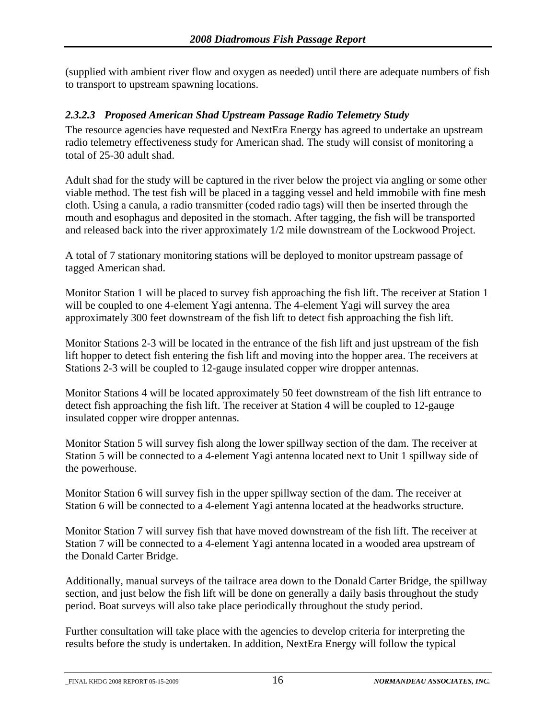<span id="page-19-0"></span>(supplied with ambient river flow and oxygen as needed) until there are adequate numbers of fish to transport to upstream spawning locations.

#### *2.3.2.3 Proposed American Shad Upstream Passage Radio Telemetry Study*

The resource agencies have requested and NextEra Energy has agreed to undertake an upstream radio telemetry effectiveness study for American shad. The study will consist of monitoring a total of 25-30 adult shad.

Adult shad for the study will be captured in the river below the project via angling or some other viable method. The test fish will be placed in a tagging vessel and held immobile with fine mesh cloth. Using a canula, a radio transmitter (coded radio tags) will then be inserted through the mouth and esophagus and deposited in the stomach. After tagging, the fish will be transported and released back into the river approximately 1/2 mile downstream of the Lockwood Project.

A total of 7 stationary monitoring stations will be deployed to monitor upstream passage of tagged American shad.

Monitor Station 1 will be placed to survey fish approaching the fish lift. The receiver at Station 1 will be coupled to one 4-element Yagi antenna. The 4-element Yagi will survey the area approximately 300 feet downstream of the fish lift to detect fish approaching the fish lift.

Monitor Stations 2-3 will be located in the entrance of the fish lift and just upstream of the fish lift hopper to detect fish entering the fish lift and moving into the hopper area. The receivers at Stations 2-3 will be coupled to 12-gauge insulated copper wire dropper antennas.

Monitor Stations 4 will be located approximately 50 feet downstream of the fish lift entrance to detect fish approaching the fish lift. The receiver at Station 4 will be coupled to 12-gauge insulated copper wire dropper antennas.

Monitor Station 5 will survey fish along the lower spillway section of the dam. The receiver at Station 5 will be connected to a 4-element Yagi antenna located next to Unit 1 spillway side of the powerhouse.

Monitor Station 6 will survey fish in the upper spillway section of the dam. The receiver at Station 6 will be connected to a 4-element Yagi antenna located at the headworks structure.

Monitor Station 7 will survey fish that have moved downstream of the fish lift. The receiver at Station 7 will be connected to a 4-element Yagi antenna located in a wooded area upstream of the Donald Carter Bridge.

Additionally, manual surveys of the tailrace area down to the Donald Carter Bridge, the spillway section, and just below the fish lift will be done on generally a daily basis throughout the study period. Boat surveys will also take place periodically throughout the study period.

Further consultation will take place with the agencies to develop criteria for interpreting the results before the study is undertaken. In addition, NextEra Energy will follow the typical

\_FINAL KHDG 2008 REPORT 05-15-2009 16 *NORMANDEAU ASSOCIATES, INC.*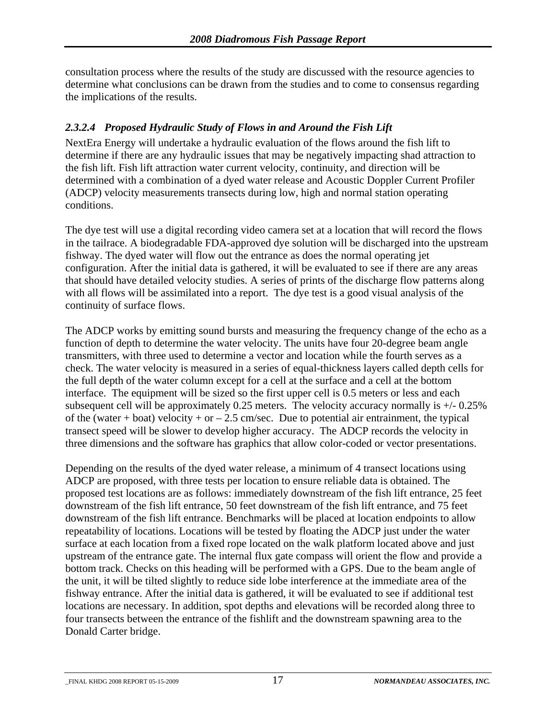<span id="page-20-0"></span>consultation process where the results of the study are discussed with the resource agencies to determine what conclusions can be drawn from the studies and to come to consensus regarding the implications of the results.

#### *2.3.2.4 Proposed Hydraulic Study of Flows in and Around the Fish Lift*

NextEra Energy will undertake a hydraulic evaluation of the flows around the fish lift to determine if there are any hydraulic issues that may be negatively impacting shad attraction to the fish lift. Fish lift attraction water current velocity, continuity, and direction will be determined with a combination of a dyed water release and Acoustic Doppler Current Profiler (ADCP) velocity measurements transects during low, high and normal station operating conditions.

The dye test will use a digital recording video camera set at a location that will record the flows in the tailrace. A biodegradable FDA-approved dye solution will be discharged into the upstream fishway. The dyed water will flow out the entrance as does the normal operating jet configuration. After the initial data is gathered, it will be evaluated to see if there are any areas that should have detailed velocity studies. A series of prints of the discharge flow patterns along with all flows will be assimilated into a report. The dye test is a good visual analysis of the continuity of surface flows.

The ADCP works by emitting sound bursts and measuring the frequency change of the echo as a function of depth to determine the water velocity. The units have four 20-degree beam angle transmitters, with three used to determine a vector and location while the fourth serves as a check. The water velocity is measured in a series of equal-thickness layers called depth cells for the full depth of the water column except for a cell at the surface and a cell at the bottom interface. The equipment will be sized so the first upper cell is 0.5 meters or less and each subsequent cell will be approximately 0.25 meters. The velocity accuracy normally is  $+/- 0.25\%$ of the (water + boat) velocity + or  $-2.5$  cm/sec. Due to potential air entrainment, the typical transect speed will be slower to develop higher accuracy. The ADCP records the velocity in three dimensions and the software has graphics that allow color-coded or vector presentations.

Depending on the results of the dyed water release, a minimum of 4 transect locations using ADCP are proposed, with three tests per location to ensure reliable data is obtained. The proposed test locations are as follows: immediately downstream of the fish lift entrance, 25 feet downstream of the fish lift entrance, 50 feet downstream of the fish lift entrance, and 75 feet downstream of the fish lift entrance. Benchmarks will be placed at location endpoints to allow repeatability of locations. Locations will be tested by floating the ADCP just under the water surface at each location from a fixed rope located on the walk platform located above and just upstream of the entrance gate. The internal flux gate compass will orient the flow and provide a bottom track. Checks on this heading will be performed with a GPS. Due to the beam angle of the unit, it will be tilted slightly to reduce side lobe interference at the immediate area of the fishway entrance. After the initial data is gathered, it will be evaluated to see if additional test locations are necessary. In addition, spot depths and elevations will be recorded along three to four transects between the entrance of the fishlift and the downstream spawning area to the Donald Carter bridge.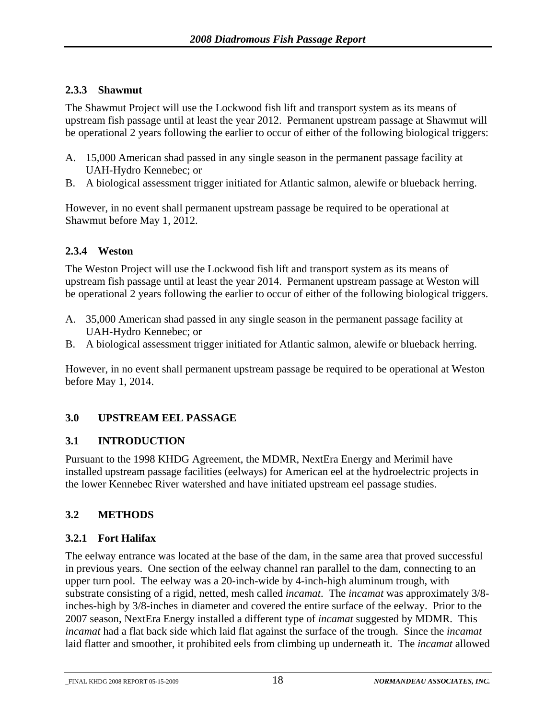#### <span id="page-21-0"></span>**2.3.3 Shawmut**

The Shawmut Project will use the Lockwood fish lift and transport system as its means of upstream fish passage until at least the year 2012. Permanent upstream passage at Shawmut will be operational 2 years following the earlier to occur of either of the following biological triggers:

- A. 15,000 American shad passed in any single season in the permanent passage facility at UAH-Hydro Kennebec; or
- B. A biological assessment trigger initiated for Atlantic salmon, alewife or blueback herring.

However, in no event shall permanent upstream passage be required to be operational at Shawmut before May 1, 2012.

#### **2.3.4 Weston**

The Weston Project will use the Lockwood fish lift and transport system as its means of upstream fish passage until at least the year 2014. Permanent upstream passage at Weston will be operational 2 years following the earlier to occur of either of the following biological triggers.

- A. 35,000 American shad passed in any single season in the permanent passage facility at UAH-Hydro Kennebec; or
- B. A biological assessment trigger initiated for Atlantic salmon, alewife or blueback herring.

However, in no event shall permanent upstream passage be required to be operational at Weston before May 1, 2014.

#### **3.0 UPSTREAM EEL PASSAGE**

#### **3.1 INTRODUCTION**

Pursuant to the 1998 KHDG Agreement, the MDMR, NextEra Energy and Merimil have installed upstream passage facilities (eelways) for American eel at the hydroelectric projects in the lower Kennebec River watershed and have initiated upstream eel passage studies.

#### **3.2 METHODS**

#### **3.2.1 Fort Halifax**

The eelway entrance was located at the base of the dam, in the same area that proved successful in previous years. One section of the eelway channel ran parallel to the dam, connecting to an upper turn pool. The eelway was a 20-inch-wide by 4-inch-high aluminum trough, with substrate consisting of a rigid, netted, mesh called *incamat*. The *incamat* was approximately 3/8 inches-high by 3/8-inches in diameter and covered the entire surface of the eelway. Prior to the 2007 season, NextEra Energy installed a different type of *incamat* suggested by MDMR. This *incamat* had a flat back side which laid flat against the surface of the trough. Since the *incamat* laid flatter and smoother, it prohibited eels from climbing up underneath it. The *incamat* allowed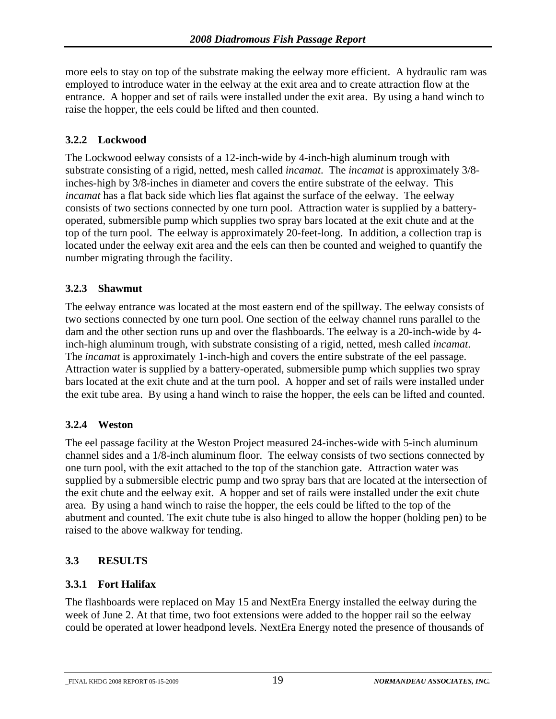<span id="page-22-0"></span>more eels to stay on top of the substrate making the eelway more efficient. A hydraulic ram was employed to introduce water in the eelway at the exit area and to create attraction flow at the entrance. A hopper and set of rails were installed under the exit area. By using a hand winch to raise the hopper, the eels could be lifted and then counted.

#### **3.2.2 Lockwood**

The Lockwood eelway consists of a 12-inch-wide by 4-inch-high aluminum trough with substrate consisting of a rigid, netted, mesh called *incamat*. The *incamat* is approximately 3/8 inches-high by 3/8-inches in diameter and covers the entire substrate of the eelway. This *incamat* has a flat back side which lies flat against the surface of the eelway. The eelway consists of two sections connected by one turn pool. Attraction water is supplied by a batteryoperated, submersible pump which supplies two spray bars located at the exit chute and at the top of the turn pool. The eelway is approximately 20-feet-long. In addition, a collection trap is located under the eelway exit area and the eels can then be counted and weighed to quantify the number migrating through the facility.

#### **3.2.3 Shawmut**

The eelway entrance was located at the most eastern end of the spillway. The eelway consists of two sections connected by one turn pool. One section of the eelway channel runs parallel to the dam and the other section runs up and over the flashboards. The eelway is a 20-inch-wide by 4 inch-high aluminum trough, with substrate consisting of a rigid, netted, mesh called *incamat*. The *incamat* is approximately 1-inch-high and covers the entire substrate of the eel passage. Attraction water is supplied by a battery-operated, submersible pump which supplies two spray bars located at the exit chute and at the turn pool. A hopper and set of rails were installed under the exit tube area. By using a hand winch to raise the hopper, the eels can be lifted and counted.

#### **3.2.4 Weston**

The eel passage facility at the Weston Project measured 24-inches-wide with 5-inch aluminum channel sides and a 1/8-inch aluminum floor. The eelway consists of two sections connected by one turn pool, with the exit attached to the top of the stanchion gate. Attraction water was supplied by a submersible electric pump and two spray bars that are located at the intersection of the exit chute and the eelway exit. A hopper and set of rails were installed under the exit chute area. By using a hand winch to raise the hopper, the eels could be lifted to the top of the abutment and counted. The exit chute tube is also hinged to allow the hopper (holding pen) to be raised to the above walkway for tending.

#### **3.3 RESULTS**

#### **3.3.1 Fort Halifax**

The flashboards were replaced on May 15 and NextEra Energy installed the eelway during the week of June 2. At that time, two foot extensions were added to the hopper rail so the eelway could be operated at lower headpond levels. NextEra Energy noted the presence of thousands of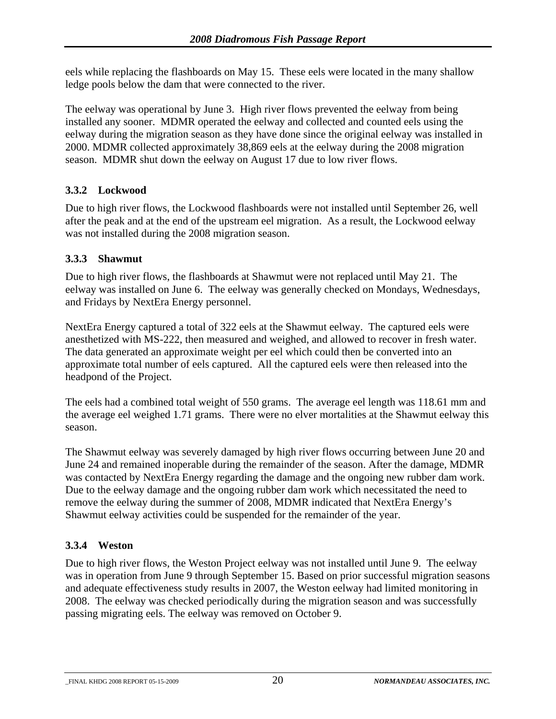<span id="page-23-0"></span>eels while replacing the flashboards on May 15. These eels were located in the many shallow ledge pools below the dam that were connected to the river.

The eelway was operational by June 3. High river flows prevented the eelway from being installed any sooner. MDMR operated the eelway and collected and counted eels using the eelway during the migration season as they have done since the original eelway was installed in 2000. MDMR collected approximately 38,869 eels at the eelway during the 2008 migration season. MDMR shut down the eelway on August 17 due to low river flows.

#### **3.3.2 Lockwood**

Due to high river flows, the Lockwood flashboards were not installed until September 26, well after the peak and at the end of the upstream eel migration. As a result, the Lockwood eelway was not installed during the 2008 migration season.

#### **3.3.3 Shawmut**

Due to high river flows, the flashboards at Shawmut were not replaced until May 21. The eelway was installed on June 6. The eelway was generally checked on Mondays, Wednesdays, and Fridays by NextEra Energy personnel.

NextEra Energy captured a total of 322 eels at the Shawmut eelway. The captured eels were anesthetized with MS-222, then measured and weighed, and allowed to recover in fresh water. The data generated an approximate weight per eel which could then be converted into an approximate total number of eels captured. All the captured eels were then released into the headpond of the Project.

The eels had a combined total weight of 550 grams. The average eel length was 118.61 mm and the average eel weighed 1.71 grams. There were no elver mortalities at the Shawmut eelway this season.

The Shawmut eelway was severely damaged by high river flows occurring between June 20 and June 24 and remained inoperable during the remainder of the season. After the damage, MDMR was contacted by NextEra Energy regarding the damage and the ongoing new rubber dam work. Due to the eelway damage and the ongoing rubber dam work which necessitated the need to remove the eelway during the summer of 2008, MDMR indicated that NextEra Energy's Shawmut eelway activities could be suspended for the remainder of the year.

#### **3.3.4 Weston**

Due to high river flows, the Weston Project eelway was not installed until June 9. The eelway was in operation from June 9 through September 15. Based on prior successful migration seasons and adequate effectiveness study results in 2007, the Weston eelway had limited monitoring in 2008. The eelway was checked periodically during the migration season and was successfully passing migrating eels. The eelway was removed on October 9.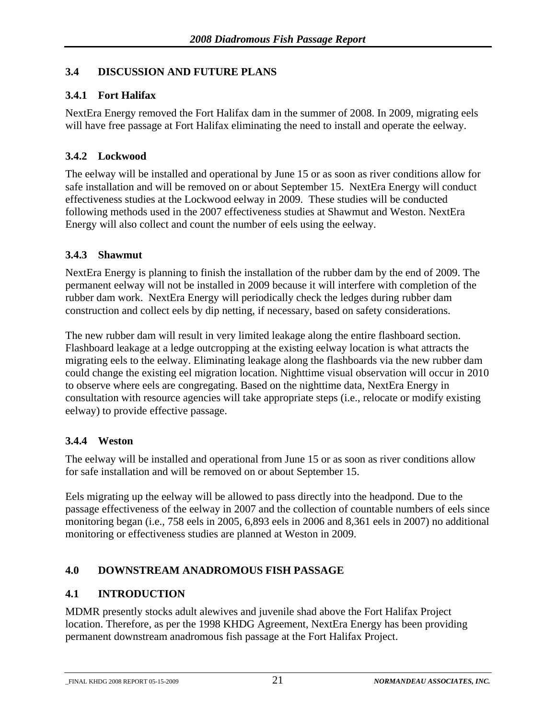#### <span id="page-24-0"></span>**3.4 DISCUSSION AND FUTURE PLANS**

#### **3.4.1 Fort Halifax**

NextEra Energy removed the Fort Halifax dam in the summer of 2008. In 2009, migrating eels will have free passage at Fort Halifax eliminating the need to install and operate the eelway.

#### **3.4.2 Lockwood**

The eelway will be installed and operational by June 15 or as soon as river conditions allow for safe installation and will be removed on or about September 15. NextEra Energy will conduct effectiveness studies at the Lockwood eelway in 2009. These studies will be conducted following methods used in the 2007 effectiveness studies at Shawmut and Weston. NextEra Energy will also collect and count the number of eels using the eelway.

#### **3.4.3 Shawmut**

NextEra Energy is planning to finish the installation of the rubber dam by the end of 2009. The permanent eelway will not be installed in 2009 because it will interfere with completion of the rubber dam work. NextEra Energy will periodically check the ledges during rubber dam construction and collect eels by dip netting, if necessary, based on safety considerations.

The new rubber dam will result in very limited leakage along the entire flashboard section. Flashboard leakage at a ledge outcropping at the existing eelway location is what attracts the migrating eels to the eelway. Eliminating leakage along the flashboards via the new rubber dam could change the existing eel migration location. Nighttime visual observation will occur in 2010 to observe where eels are congregating. Based on the nighttime data, NextEra Energy in consultation with resource agencies will take appropriate steps (i.e., relocate or modify existing eelway) to provide effective passage.

#### **3.4.4 Weston**

The eelway will be installed and operational from June 15 or as soon as river conditions allow for safe installation and will be removed on or about September 15.

Eels migrating up the eelway will be allowed to pass directly into the headpond. Due to the passage effectiveness of the eelway in 2007 and the collection of countable numbers of eels since monitoring began (i.e., 758 eels in 2005, 6,893 eels in 2006 and 8,361 eels in 2007) no additional monitoring or effectiveness studies are planned at Weston in 2009.

#### **4.0 DOWNSTREAM ANADROMOUS FISH PASSAGE**

#### **4.1 INTRODUCTION**

MDMR presently stocks adult alewives and juvenile shad above the Fort Halifax Project location. Therefore, as per the 1998 KHDG Agreement, NextEra Energy has been providing permanent downstream anadromous fish passage at the Fort Halifax Project.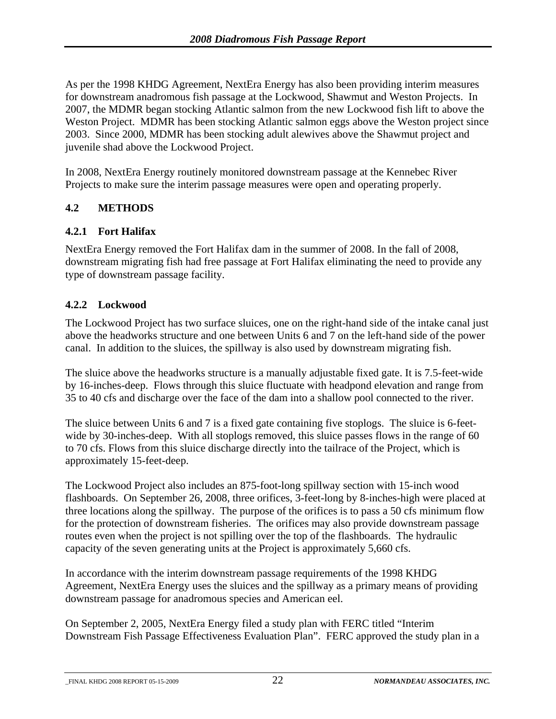<span id="page-25-0"></span>As per the 1998 KHDG Agreement, NextEra Energy has also been providing interim measures for downstream anadromous fish passage at the Lockwood, Shawmut and Weston Projects. In 2007, the MDMR began stocking Atlantic salmon from the new Lockwood fish lift to above the Weston Project. MDMR has been stocking Atlantic salmon eggs above the Weston project since 2003. Since 2000, MDMR has been stocking adult alewives above the Shawmut project and juvenile shad above the Lockwood Project.

In 2008, NextEra Energy routinely monitored downstream passage at the Kennebec River Projects to make sure the interim passage measures were open and operating properly.

#### **4.2 METHODS**

#### **4.2.1 Fort Halifax**

NextEra Energy removed the Fort Halifax dam in the summer of 2008. In the fall of 2008, downstream migrating fish had free passage at Fort Halifax eliminating the need to provide any type of downstream passage facility.

#### **4.2.2 Lockwood**

The Lockwood Project has two surface sluices, one on the right-hand side of the intake canal just above the headworks structure and one between Units 6 and 7 on the left-hand side of the power canal. In addition to the sluices, the spillway is also used by downstream migrating fish.

The sluice above the headworks structure is a manually adjustable fixed gate. It is 7.5-feet-wide by 16-inches-deep. Flows through this sluice fluctuate with headpond elevation and range from 35 to 40 cfs and discharge over the face of the dam into a shallow pool connected to the river.

The sluice between Units 6 and 7 is a fixed gate containing five stoplogs. The sluice is 6-feetwide by 30-inches-deep. With all stoplogs removed, this sluice passes flows in the range of 60 to 70 cfs. Flows from this sluice discharge directly into the tailrace of the Project, which is approximately 15-feet-deep.

The Lockwood Project also includes an 875-foot-long spillway section with 15-inch wood flashboards. On September 26, 2008, three orifices, 3-feet-long by 8-inches-high were placed at three locations along the spillway. The purpose of the orifices is to pass a 50 cfs minimum flow for the protection of downstream fisheries. The orifices may also provide downstream passage routes even when the project is not spilling over the top of the flashboards. The hydraulic capacity of the seven generating units at the Project is approximately 5,660 cfs.

In accordance with the interim downstream passage requirements of the 1998 KHDG Agreement, NextEra Energy uses the sluices and the spillway as a primary means of providing downstream passage for anadromous species and American eel.

On September 2, 2005, NextEra Energy filed a study plan with FERC titled "Interim Downstream Fish Passage Effectiveness Evaluation Plan". FERC approved the study plan in a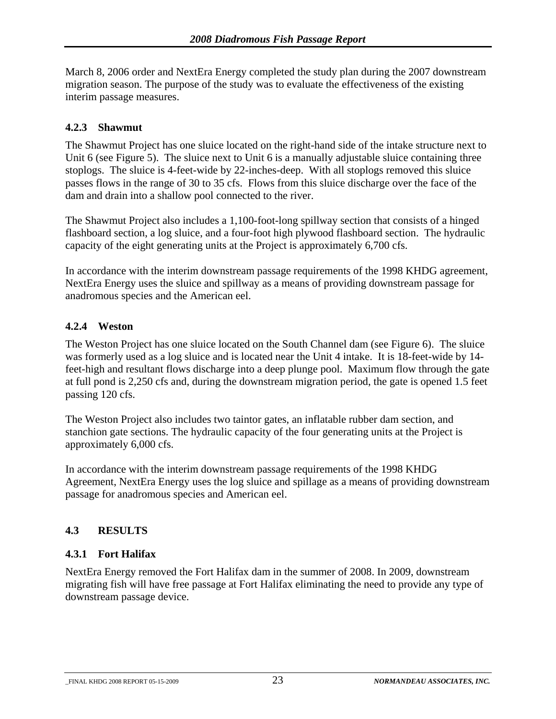<span id="page-26-0"></span>March 8, 2006 order and NextEra Energy completed the study plan during the 2007 downstream migration season. The purpose of the study was to evaluate the effectiveness of the existing interim passage measures.

#### **4.2.3 Shawmut**

The Shawmut Project has one sluice located on the right-hand side of the intake structure next to Unit 6 (see Figure 5). The sluice next to Unit 6 is a manually adjustable sluice containing three stoplogs. The sluice is 4-feet-wide by 22-inches-deep. With all stoplogs removed this sluice passes flows in the range of 30 to 35 cfs. Flows from this sluice discharge over the face of the dam and drain into a shallow pool connected to the river.

The Shawmut Project also includes a 1,100-foot-long spillway section that consists of a hinged flashboard section, a log sluice, and a four-foot high plywood flashboard section. The hydraulic capacity of the eight generating units at the Project is approximately 6,700 cfs.

In accordance with the interim downstream passage requirements of the 1998 KHDG agreement, NextEra Energy uses the sluice and spillway as a means of providing downstream passage for anadromous species and the American eel.

#### **4.2.4 Weston**

The Weston Project has one sluice located on the South Channel dam (see Figure 6). The sluice was formerly used as a log sluice and is located near the Unit 4 intake. It is 18-feet-wide by 14 feet-high and resultant flows discharge into a deep plunge pool. Maximum flow through the gate at full pond is 2,250 cfs and, during the downstream migration period, the gate is opened 1.5 feet passing 120 cfs.

The Weston Project also includes two taintor gates, an inflatable rubber dam section, and stanchion gate sections. The hydraulic capacity of the four generating units at the Project is approximately 6,000 cfs.

In accordance with the interim downstream passage requirements of the 1998 KHDG Agreement, NextEra Energy uses the log sluice and spillage as a means of providing downstream passage for anadromous species and American eel.

#### **4.3 RESULTS**

#### **4.3.1 Fort Halifax**

NextEra Energy removed the Fort Halifax dam in the summer of 2008. In 2009, downstream migrating fish will have free passage at Fort Halifax eliminating the need to provide any type of downstream passage device.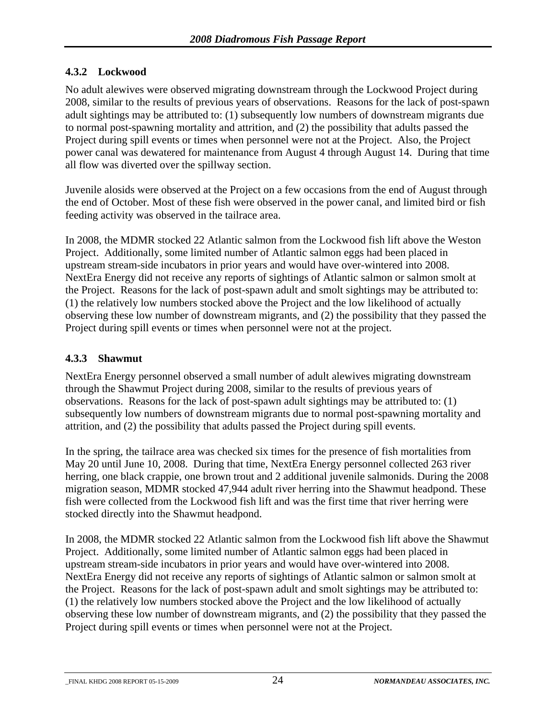#### <span id="page-27-0"></span>**4.3.2 Lockwood**

No adult alewives were observed migrating downstream through the Lockwood Project during 2008, similar to the results of previous years of observations. Reasons for the lack of post-spawn adult sightings may be attributed to: (1) subsequently low numbers of downstream migrants due to normal post-spawning mortality and attrition, and (2) the possibility that adults passed the Project during spill events or times when personnel were not at the Project. Also, the Project power canal was dewatered for maintenance from August 4 through August 14. During that time all flow was diverted over the spillway section.

Juvenile alosids were observed at the Project on a few occasions from the end of August through the end of October. Most of these fish were observed in the power canal, and limited bird or fish feeding activity was observed in the tailrace area.

In 2008, the MDMR stocked 22 Atlantic salmon from the Lockwood fish lift above the Weston Project. Additionally, some limited number of Atlantic salmon eggs had been placed in upstream stream-side incubators in prior years and would have over-wintered into 2008. NextEra Energy did not receive any reports of sightings of Atlantic salmon or salmon smolt at the Project. Reasons for the lack of post-spawn adult and smolt sightings may be attributed to: (1) the relatively low numbers stocked above the Project and the low likelihood of actually observing these low number of downstream migrants, and (2) the possibility that they passed the Project during spill events or times when personnel were not at the project.

#### **4.3.3 Shawmut**

NextEra Energy personnel observed a small number of adult alewives migrating downstream through the Shawmut Project during 2008, similar to the results of previous years of observations. Reasons for the lack of post-spawn adult sightings may be attributed to: (1) subsequently low numbers of downstream migrants due to normal post-spawning mortality and attrition, and (2) the possibility that adults passed the Project during spill events.

In the spring, the tailrace area was checked six times for the presence of fish mortalities from May 20 until June 10, 2008. During that time, NextEra Energy personnel collected 263 river herring, one black crappie, one brown trout and 2 additional juvenile salmonids. During the 2008 migration season, MDMR stocked 47,944 adult river herring into the Shawmut headpond. These fish were collected from the Lockwood fish lift and was the first time that river herring were stocked directly into the Shawmut headpond.

In 2008, the MDMR stocked 22 Atlantic salmon from the Lockwood fish lift above the Shawmut Project. Additionally, some limited number of Atlantic salmon eggs had been placed in upstream stream-side incubators in prior years and would have over-wintered into 2008. NextEra Energy did not receive any reports of sightings of Atlantic salmon or salmon smolt at the Project. Reasons for the lack of post-spawn adult and smolt sightings may be attributed to: (1) the relatively low numbers stocked above the Project and the low likelihood of actually observing these low number of downstream migrants, and (2) the possibility that they passed the Project during spill events or times when personnel were not at the Project.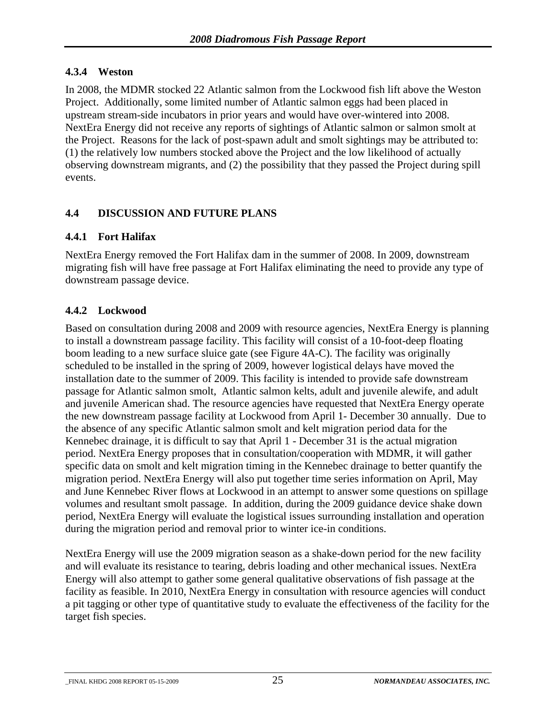#### <span id="page-28-0"></span>**4.3.4 Weston**

In 2008, the MDMR stocked 22 Atlantic salmon from the Lockwood fish lift above the Weston Project. Additionally, some limited number of Atlantic salmon eggs had been placed in upstream stream-side incubators in prior years and would have over-wintered into 2008. NextEra Energy did not receive any reports of sightings of Atlantic salmon or salmon smolt at the Project. Reasons for the lack of post-spawn adult and smolt sightings may be attributed to: (1) the relatively low numbers stocked above the Project and the low likelihood of actually observing downstream migrants, and (2) the possibility that they passed the Project during spill events.

#### **4.4 DISCUSSION AND FUTURE PLANS**

#### **4.4.1 Fort Halifax**

NextEra Energy removed the Fort Halifax dam in the summer of 2008. In 2009, downstream migrating fish will have free passage at Fort Halifax eliminating the need to provide any type of downstream passage device.

#### **4.4.2 Lockwood**

Based on consultation during 2008 and 2009 with resource agencies, NextEra Energy is planning to install a downstream passage facility. This facility will consist of a 10-foot-deep floating boom leading to a new surface sluice gate (see Figure 4A-C). The facility was originally scheduled to be installed in the spring of 2009, however logistical delays have moved the installation date to the summer of 2009. This facility is intended to provide safe downstream passage for Atlantic salmon smolt, Atlantic salmon kelts, adult and juvenile alewife, and adult and juvenile American shad. The resource agencies have requested that NextEra Energy operate the new downstream passage facility at Lockwood from April 1- December 30 annually. Due to the absence of any specific Atlantic salmon smolt and kelt migration period data for the Kennebec drainage, it is difficult to say that April 1 - December 31 is the actual migration period. NextEra Energy proposes that in consultation/cooperation with MDMR, it will gather specific data on smolt and kelt migration timing in the Kennebec drainage to better quantify the migration period. NextEra Energy will also put together time series information on April, May and June Kennebec River flows at Lockwood in an attempt to answer some questions on spillage volumes and resultant smolt passage. In addition, during the 2009 guidance device shake down period, NextEra Energy will evaluate the logistical issues surrounding installation and operation during the migration period and removal prior to winter ice-in conditions.

NextEra Energy will use the 2009 migration season as a shake-down period for the new facility and will evaluate its resistance to tearing, debris loading and other mechanical issues. NextEra Energy will also attempt to gather some general qualitative observations of fish passage at the facility as feasible. In 2010, NextEra Energy in consultation with resource agencies will conduct a pit tagging or other type of quantitative study to evaluate the effectiveness of the facility for the target fish species.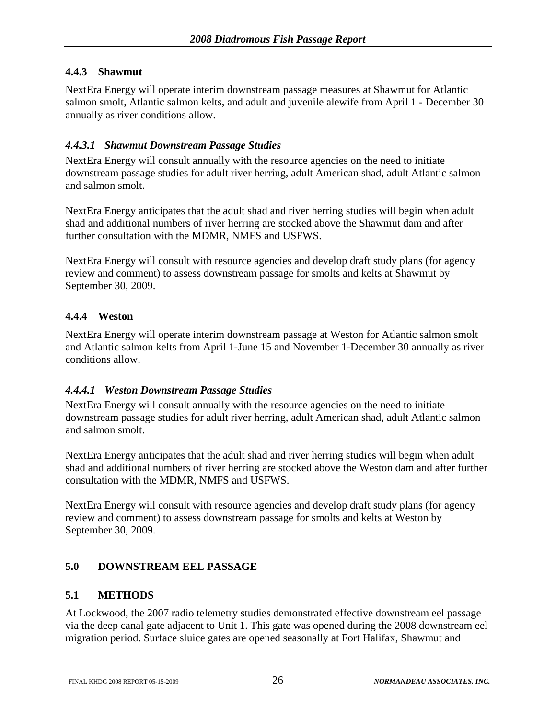#### <span id="page-29-0"></span>**4.4.3 Shawmut**

NextEra Energy will operate interim downstream passage measures at Shawmut for Atlantic salmon smolt, Atlantic salmon kelts, and adult and juvenile alewife from April 1 - December 30 annually as river conditions allow.

#### *4.4.3.1 Shawmut Downstream Passage Studies*

NextEra Energy will consult annually with the resource agencies on the need to initiate downstream passage studies for adult river herring, adult American shad, adult Atlantic salmon and salmon smolt.

NextEra Energy anticipates that the adult shad and river herring studies will begin when adult shad and additional numbers of river herring are stocked above the Shawmut dam and after further consultation with the MDMR, NMFS and USFWS.

NextEra Energy will consult with resource agencies and develop draft study plans (for agency review and comment) to assess downstream passage for smolts and kelts at Shawmut by September 30, 2009.

#### **4.4.4 Weston**

NextEra Energy will operate interim downstream passage at Weston for Atlantic salmon smolt and Atlantic salmon kelts from April 1-June 15 and November 1-December 30 annually as river conditions allow.

#### *4.4.4.1 Weston Downstream Passage Studies*

NextEra Energy will consult annually with the resource agencies on the need to initiate downstream passage studies for adult river herring, adult American shad, adult Atlantic salmon and salmon smolt.

NextEra Energy anticipates that the adult shad and river herring studies will begin when adult shad and additional numbers of river herring are stocked above the Weston dam and after further consultation with the MDMR, NMFS and USFWS.

NextEra Energy will consult with resource agencies and develop draft study plans (for agency review and comment) to assess downstream passage for smolts and kelts at Weston by September 30, 2009.

#### **5.0 DOWNSTREAM EEL PASSAGE**

#### **5.1 METHODS**

At Lockwood, the 2007 radio telemetry studies demonstrated effective downstream eel passage via the deep canal gate adjacent to Unit 1. This gate was opened during the 2008 downstream eel migration period. Surface sluice gates are opened seasonally at Fort Halifax, Shawmut and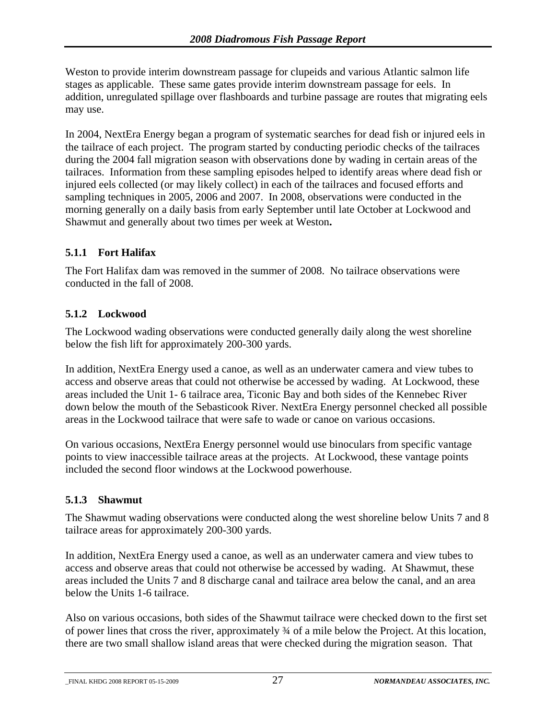<span id="page-30-0"></span>Weston to provide interim downstream passage for clupeids and various Atlantic salmon life stages as applicable. These same gates provide interim downstream passage for eels. In addition, unregulated spillage over flashboards and turbine passage are routes that migrating eels may use.

In 2004, NextEra Energy began a program of systematic searches for dead fish or injured eels in the tailrace of each project. The program started by conducting periodic checks of the tailraces during the 2004 fall migration season with observations done by wading in certain areas of the tailraces. Information from these sampling episodes helped to identify areas where dead fish or injured eels collected (or may likely collect) in each of the tailraces and focused efforts and sampling techniques in 2005, 2006 and 2007. In 2008, observations were conducted in the morning generally on a daily basis from early September until late October at Lockwood and Shawmut and generally about two times per week at Weston**.** 

#### **5.1.1 Fort Halifax**

The Fort Halifax dam was removed in the summer of 2008. No tailrace observations were conducted in the fall of 2008.

#### **5.1.2 Lockwood**

The Lockwood wading observations were conducted generally daily along the west shoreline below the fish lift for approximately 200-300 yards.

In addition, NextEra Energy used a canoe, as well as an underwater camera and view tubes to access and observe areas that could not otherwise be accessed by wading. At Lockwood, these areas included the Unit 1- 6 tailrace area, Ticonic Bay and both sides of the Kennebec River down below the mouth of the Sebasticook River. NextEra Energy personnel checked all possible areas in the Lockwood tailrace that were safe to wade or canoe on various occasions.

On various occasions, NextEra Energy personnel would use binoculars from specific vantage points to view inaccessible tailrace areas at the projects. At Lockwood, these vantage points included the second floor windows at the Lockwood powerhouse.

#### **5.1.3 Shawmut**

The Shawmut wading observations were conducted along the west shoreline below Units 7 and 8 tailrace areas for approximately 200-300 yards.

In addition, NextEra Energy used a canoe, as well as an underwater camera and view tubes to access and observe areas that could not otherwise be accessed by wading. At Shawmut, these areas included the Units 7 and 8 discharge canal and tailrace area below the canal, and an area below the Units 1-6 tailrace.

Also on various occasions, both sides of the Shawmut tailrace were checked down to the first set of power lines that cross the river, approximately ¾ of a mile below the Project. At this location, there are two small shallow island areas that were checked during the migration season. That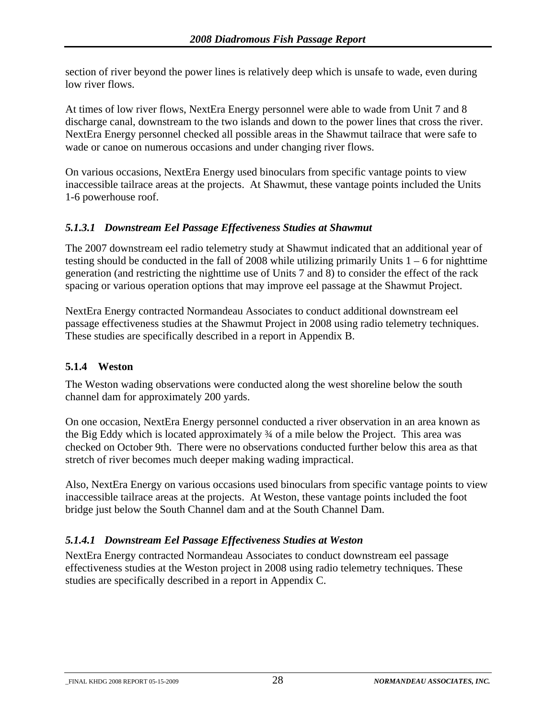<span id="page-31-0"></span>section of river beyond the power lines is relatively deep which is unsafe to wade, even during low river flows.

At times of low river flows, NextEra Energy personnel were able to wade from Unit 7 and 8 discharge canal, downstream to the two islands and down to the power lines that cross the river. NextEra Energy personnel checked all possible areas in the Shawmut tailrace that were safe to wade or canoe on numerous occasions and under changing river flows.

On various occasions, NextEra Energy used binoculars from specific vantage points to view inaccessible tailrace areas at the projects. At Shawmut, these vantage points included the Units 1-6 powerhouse roof.

#### *5.1.3.1 Downstream Eel Passage Effectiveness Studies at Shawmut*

The 2007 downstream eel radio telemetry study at Shawmut indicated that an additional year of testing should be conducted in the fall of 2008 while utilizing primarily Units  $1 - 6$  for nighttime generation (and restricting the nighttime use of Units 7 and 8) to consider the effect of the rack spacing or various operation options that may improve eel passage at the Shawmut Project.

NextEra Energy contracted Normandeau Associates to conduct additional downstream eel passage effectiveness studies at the Shawmut Project in 2008 using radio telemetry techniques. These studies are specifically described in a report in Appendix B.

#### **5.1.4 Weston**

The Weston wading observations were conducted along the west shoreline below the south channel dam for approximately 200 yards.

On one occasion, NextEra Energy personnel conducted a river observation in an area known as the Big Eddy which is located approximately ¾ of a mile below the Project. This area was checked on October 9th. There were no observations conducted further below this area as that stretch of river becomes much deeper making wading impractical.

Also, NextEra Energy on various occasions used binoculars from specific vantage points to view inaccessible tailrace areas at the projects. At Weston, these vantage points included the foot bridge just below the South Channel dam and at the South Channel Dam.

#### *5.1.4.1 Downstream Eel Passage Effectiveness Studies at Weston*

NextEra Energy contracted Normandeau Associates to conduct downstream eel passage effectiveness studies at the Weston project in 2008 using radio telemetry techniques. These studies are specifically described in a report in Appendix C.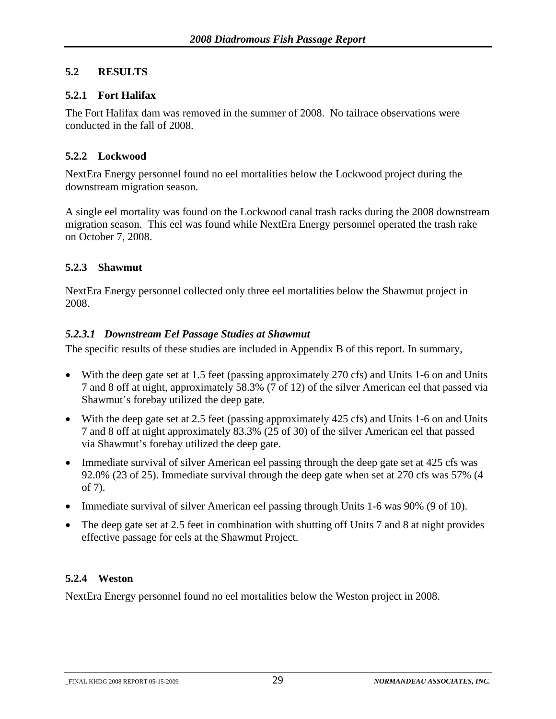#### <span id="page-32-0"></span>**5.2 RESULTS**

#### **5.2.1 Fort Halifax**

The Fort Halifax dam was removed in the summer of 2008. No tailrace observations were conducted in the fall of 2008.

#### **5.2.2 Lockwood**

NextEra Energy personnel found no eel mortalities below the Lockwood project during the downstream migration season.

A single eel mortality was found on the Lockwood canal trash racks during the 2008 downstream migration season. This eel was found while NextEra Energy personnel operated the trash rake on October 7, 2008.

#### **5.2.3 Shawmut**

NextEra Energy personnel collected only three eel mortalities below the Shawmut project in 2008.

#### *5.2.3.1 Downstream Eel Passage Studies at Shawmut*

The specific results of these studies are included in Appendix B of this report. In summary,

- With the deep gate set at 1.5 feet (passing approximately 270 cfs) and Units 1-6 on and Units 7 and 8 off at night, approximately 58.3% (7 of 12) of the silver American eel that passed via Shawmut's forebay utilized the deep gate.
- With the deep gate set at 2.5 feet (passing approximately 425 cfs) and Units 1-6 on and Units 7 and 8 off at night approximately 83.3% (25 of 30) of the silver American eel that passed via Shawmut's forebay utilized the deep gate.
- Immediate survival of silver American eel passing through the deep gate set at 425 cfs was 92.0% (23 of 25). Immediate survival through the deep gate when set at 270 cfs was 57% (4 of 7).
- Immediate survival of silver American eel passing through Units 1-6 was 90% (9 of 10).
- The deep gate set at 2.5 feet in combination with shutting off Units 7 and 8 at night provides effective passage for eels at the Shawmut Project.

#### **5.2.4 Weston**

NextEra Energy personnel found no eel mortalities below the Weston project in 2008.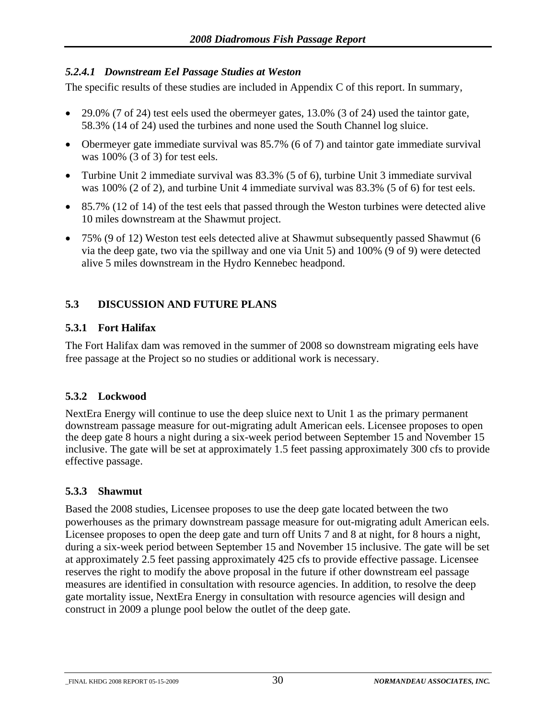#### <span id="page-33-0"></span>*5.2.4.1 Downstream Eel Passage Studies at Weston*

The specific results of these studies are included in Appendix C of this report. In summary,

- 29.0% (7 of 24) test eels used the obermeyer gates, 13.0% (3 of 24) used the taintor gate, 58.3% (14 of 24) used the turbines and none used the South Channel log sluice.
- Obermeyer gate immediate survival was 85.7% (6 of 7) and taintor gate immediate survival was 100% (3 of 3) for test eels.
- Turbine Unit 2 immediate survival was 83.3% (5 of 6), turbine Unit 3 immediate survival was 100% (2 of 2), and turbine Unit 4 immediate survival was 83.3% (5 of 6) for test eels.
- 85.7% (12 of 14) of the test eels that passed through the Weston turbines were detected alive 10 miles downstream at the Shawmut project.
- 75% (9 of 12) Weston test eels detected alive at Shawmut subsequently passed Shawmut (6 via the deep gate, two via the spillway and one via Unit 5) and 100% (9 of 9) were detected alive 5 miles downstream in the Hydro Kennebec headpond.

#### **5.3 DISCUSSION AND FUTURE PLANS**

#### **5.3.1 Fort Halifax**

The Fort Halifax dam was removed in the summer of 2008 so downstream migrating eels have free passage at the Project so no studies or additional work is necessary.

#### **5.3.2 Lockwood**

NextEra Energy will continue to use the deep sluice next to Unit 1 as the primary permanent downstream passage measure for out-migrating adult American eels. Licensee proposes to open the deep gate 8 hours a night during a six-week period between September 15 and November 15 inclusive. The gate will be set at approximately 1.5 feet passing approximately 300 cfs to provide effective passage.

#### **5.3.3 Shawmut**

Based the 2008 studies, Licensee proposes to use the deep gate located between the two powerhouses as the primary downstream passage measure for out-migrating adult American eels. Licensee proposes to open the deep gate and turn off Units 7 and 8 at night, for 8 hours a night, during a six-week period between September 15 and November 15 inclusive. The gate will be set at approximately 2.5 feet passing approximately 425 cfs to provide effective passage. Licensee reserves the right to modify the above proposal in the future if other downstream eel passage measures are identified in consultation with resource agencies. In addition, to resolve the deep gate mortality issue, NextEra Energy in consultation with resource agencies will design and construct in 2009 a plunge pool below the outlet of the deep gate.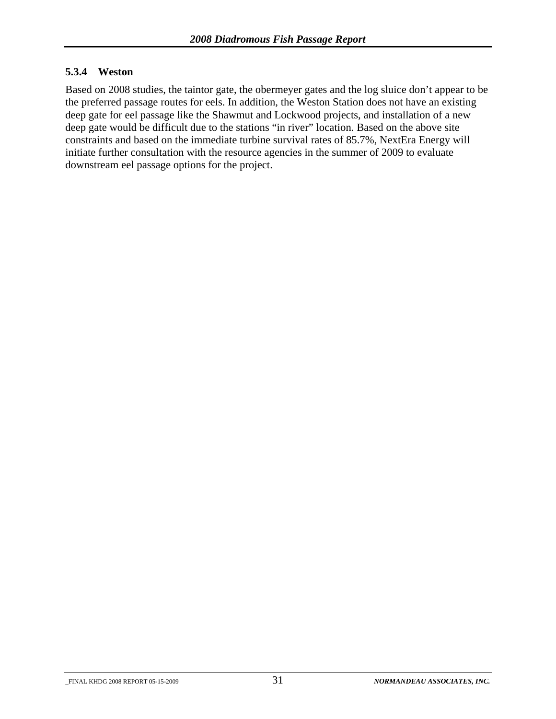#### <span id="page-34-0"></span>**5.3.4 Weston**

Based on 2008 studies, the taintor gate, the obermeyer gates and the log sluice don't appear to be the preferred passage routes for eels. In addition, the Weston Station does not have an existing deep gate for eel passage like the Shawmut and Lockwood projects, and installation of a new deep gate would be difficult due to the stations "in river" location. Based on the above site constraints and based on the immediate turbine survival rates of 85.7%, NextEra Energy will initiate further consultation with the resource agencies in the summer of 2009 to evaluate downstream eel passage options for the project.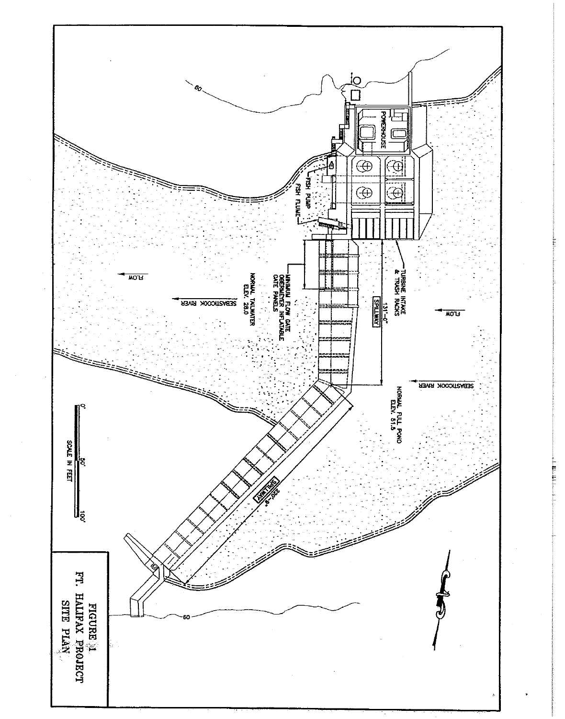

**HLLLE**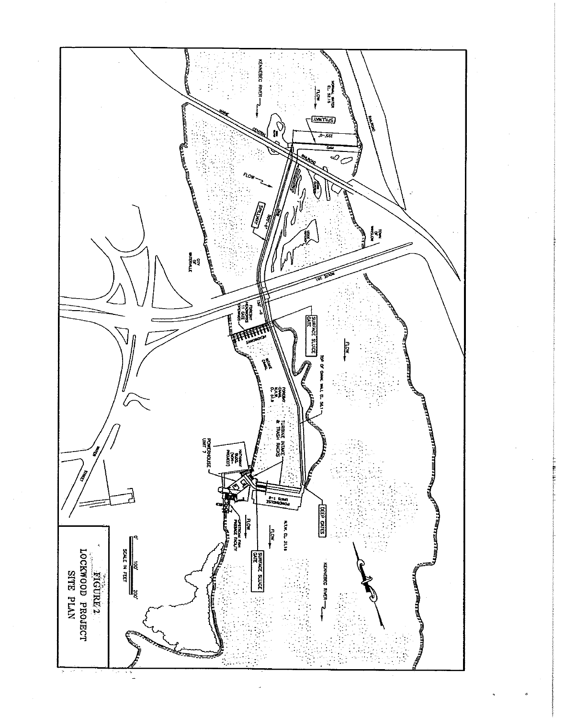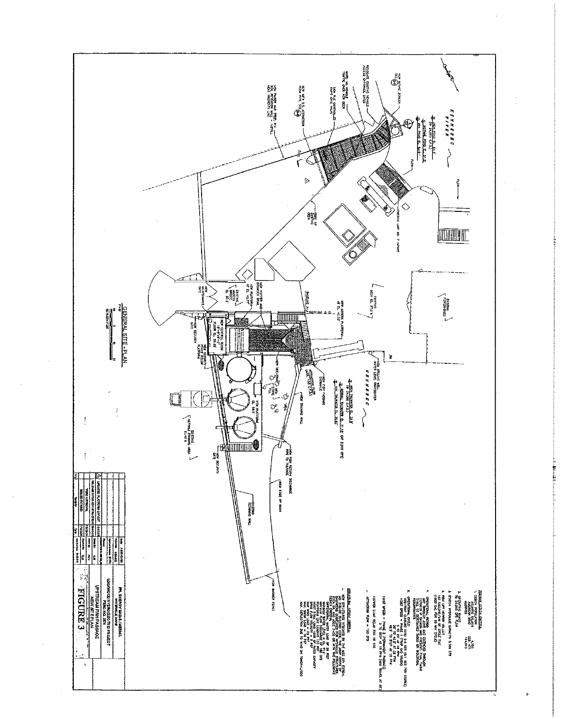

Marchitect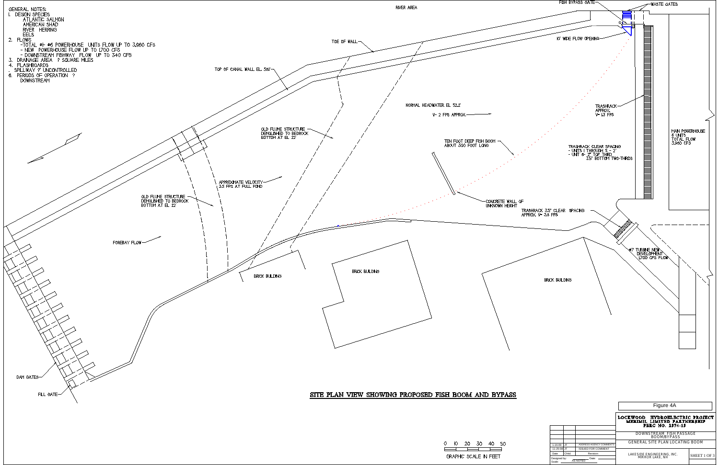<span id="page-38-0"></span>

|  | -20 - 30              | 40. |  |
|--|-----------------------|-----|--|
|  |                       |     |  |
|  | GRAPHIC SCALE IN FEET |     |  |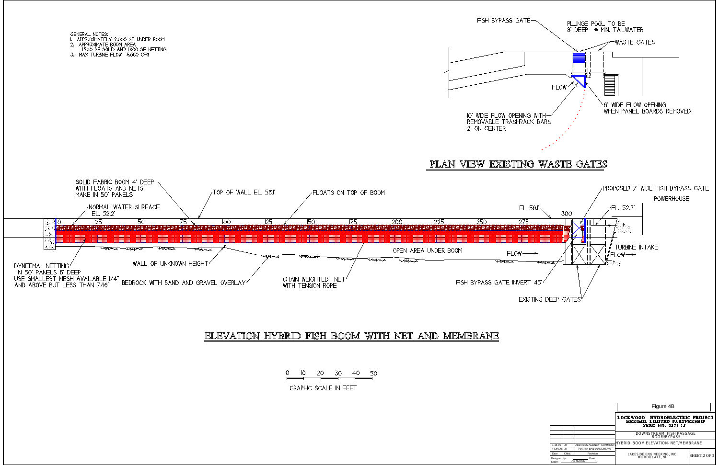

|                                             |       |                            | Figure 4B                                                                            |              |  |
|---------------------------------------------|-------|----------------------------|--------------------------------------------------------------------------------------|--------------|--|
|                                             |       |                            | LOCKWOOD<br>HYDROELECTRIC PROJECT<br>MERIMIL LIMITED PARTNERSHIP<br>FERC NO. 2574-15 |              |  |
|                                             |       |                            | DOWNSTREAM FISH PASSAGE<br>BOOM/BYPASS                                               |              |  |
| $1 - 16 - 09$                               | JT.   | ADDRESS AGENCY COMMENT\$   | HYBRID BOOM ELEVATION- NET/MEMBRANE                                                  |              |  |
| 11-25-08 JT                                 |       | <b>ISSUED FOR COMMENTS</b> |                                                                                      |              |  |
| Date                                        | Chkd. | Revision                   | LAKESIDE ENGINEERING, INC.<br>MIRROR LAKE, NH                                        | SHEET 2 OF 3 |  |
| Date:<br>Designed by:<br>AS NOTED<br>Scale: |       |                            |                                                                                      |              |  |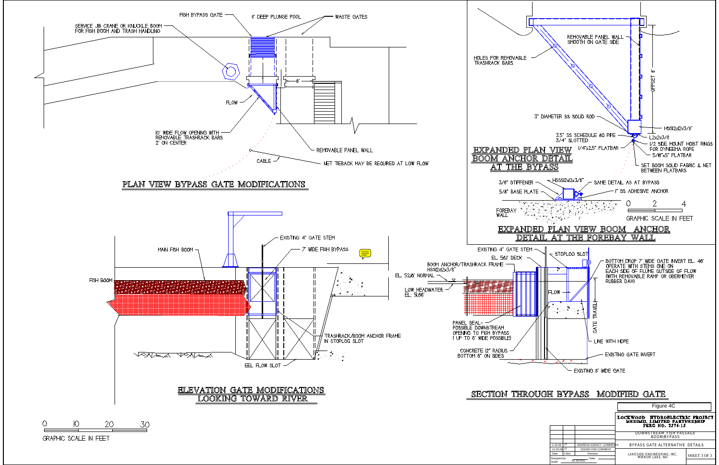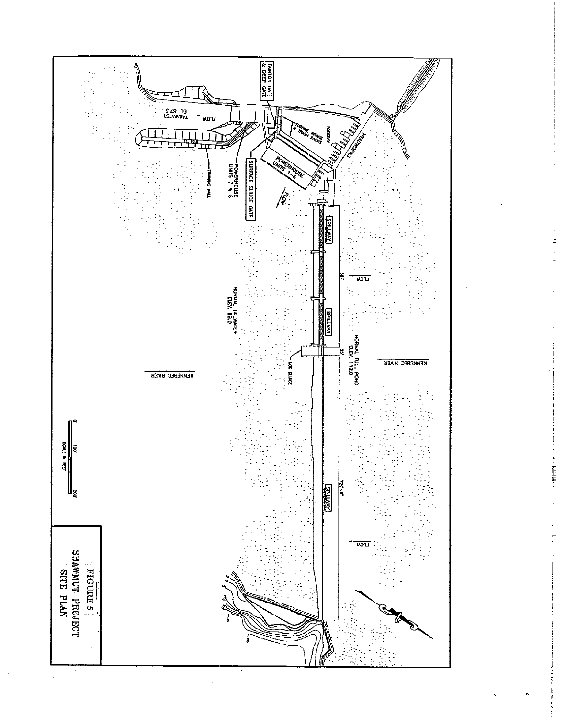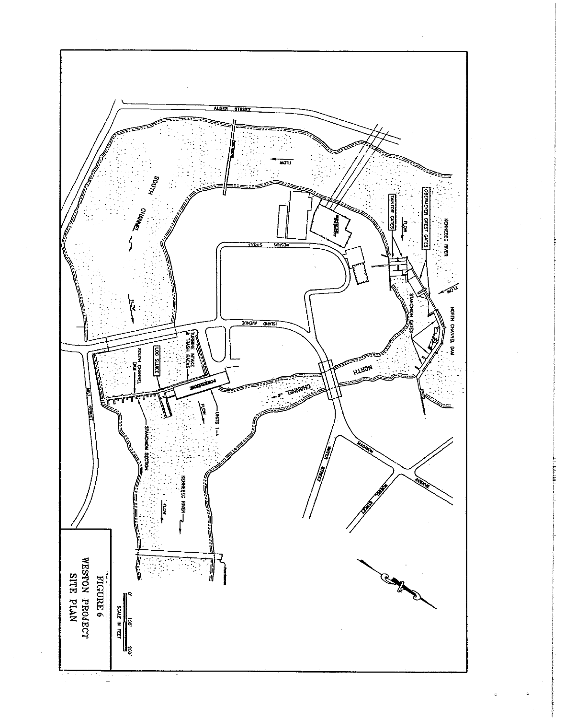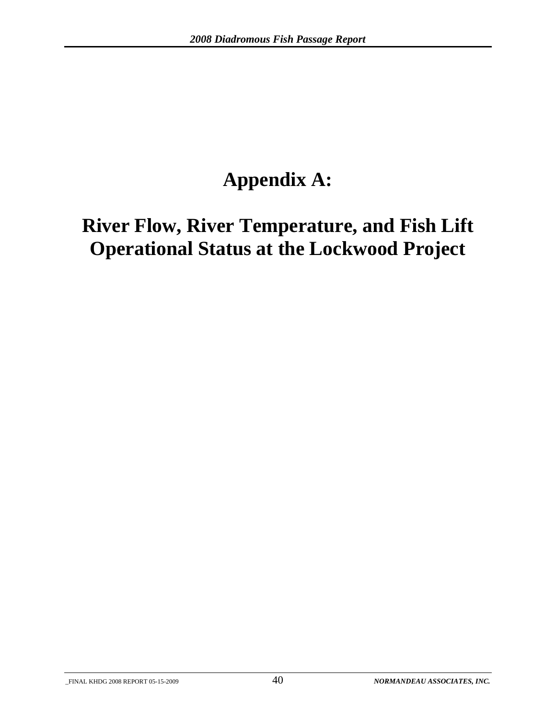# **Appendix A:**

# **River Flow, River Temperature, and Fish Lift Operational Status at the Lockwood Project**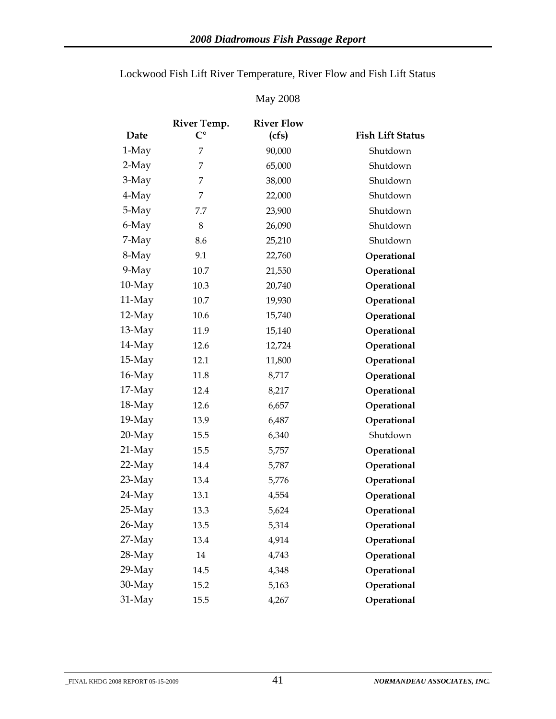|           | River Temp.        | <b>River Flow</b> |                         |
|-----------|--------------------|-------------------|-------------------------|
| Date      | $\mathsf{C}^\circ$ | (cfs)             | <b>Fish Lift Status</b> |
| 1-May     | 7                  | 90,000            | Shutdown                |
| 2-May     | 7                  | 65,000            | Shutdown                |
| 3-May     | 7                  | 38,000            | Shutdown                |
| 4-May     | 7                  | 22,000            | Shutdown                |
| 5-May     | 7.7                | 23,900            | Shutdown                |
| 6-May     | $8\,$              | 26,090            | Shutdown                |
| 7-May     | 8.6                | 25,210            | Shutdown                |
| 8-May     | 9.1                | 22,760            | Operational             |
| $9-May$   | 10.7               | 21,550            | Operational             |
| $10-May$  | 10.3               | 20,740            | Operational             |
| 11-May    | 10.7               | 19,930            | Operational             |
| $12-May$  | 10.6               | 15,740            | Operational             |
| $13-May$  | 11.9               | 15,140            | Operational             |
| $14$ -May | 12.6               | 12,724            | Operational             |
| $15-May$  | 12.1               | 11,800            | Operational             |
| $16$ -May | 11.8               | 8,717             | Operational             |
| $17-May$  | 12.4               | 8,217             | Operational             |
| 18-May    | 12.6               | 6,657             | Operational             |
| $19-May$  | 13.9               | 6,487             | Operational             |
| $20$ -May | 15.5               | 6,340             | Shutdown                |
| $21$ -May | 15.5               | 5,757             | Operational             |
| $22-May$  | 14.4               | 5,787             | Operational             |
| $23-May$  | 13.4               | 5,776             | Operational             |
| 24-May    | 13.1               | 4,554             | Operational             |
| $25-May$  | 13.3               | 5,624             | Operational             |
| 26-May    | 13.5               | 5,314             | Operational             |
| $27-May$  | 13.4               | 4,914             | Operational             |
| 28-May    | 14                 | 4,743             | Operational             |
| $29$ -May | 14.5               | 4,348             | Operational             |
| 30-May    | 15.2               | 5,163             | Operational             |
| 31-May    | 15.5               | 4,267             | Operational             |

Lockwood Fish Lift River Temperature, River Flow and Fish Lift Status

#### May 2008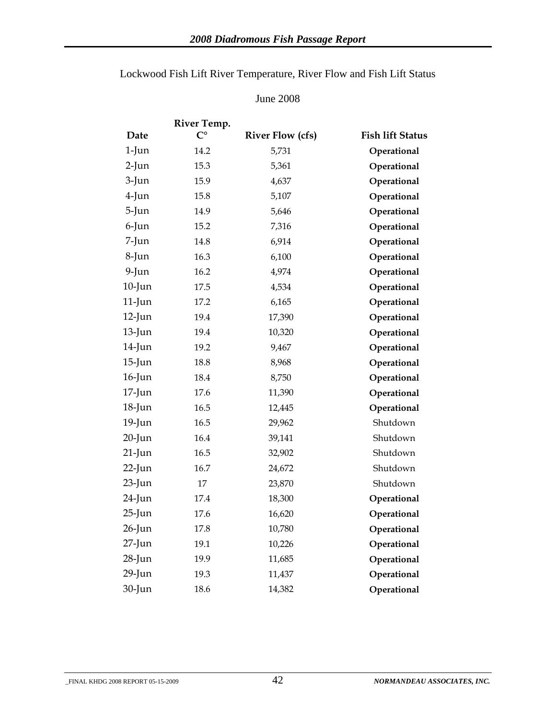#### June 2008

|           | River Temp. |                         |                         |
|-----------|-------------|-------------------------|-------------------------|
| Date      | $C^{\circ}$ | <b>River Flow (cfs)</b> | <b>Fish lift Status</b> |
| $1$ -Jun  | 14.2        | 5,731                   | Operational             |
| $2$ -Jun  | 15.3        | 5,361                   | Operational             |
| $3$ -Jun  | 15.9        | 4,637                   | Operational             |
| $4$ -Jun  | 15.8        | 5,107                   | Operational             |
| $5$ -Jun  | 14.9        | 5,646                   | Operational             |
| $6$ -Jun  | 15.2        | 7,316                   | Operational             |
| $7$ -Jun  | 14.8        | 6,914                   | Operational             |
| $8$ -Jun  | 16.3        | 6,100                   | Operational             |
| $9$ -Jun  | 16.2        | 4,974                   | Operational             |
| $10$ -Jun | $17.5\,$    | 4,534                   | Operational             |
| $11$ -Jun | 17.2        | 6,165                   | Operational             |
| $12$ -Jun | 19.4        | 17,390                  | Operational             |
| $13$ -Jun | 19.4        | 10,320                  | Operational             |
| $14$ -Jun | 19.2        | 9,467                   | Operational             |
| $15$ -Jun | 18.8        | 8,968                   | Operational             |
| $16$ -Jun | 18.4        | 8,750                   | Operational             |
| $17$ -Jun | 17.6        | 11,390                  | Operational             |
| $18$ -Jun | 16.5        | 12,445                  | Operational             |
| $19$ -Jun | 16.5        | 29,962                  | Shutdown                |
| $20$ -Jun | 16.4        | 39,141                  | Shutdown                |
| $21$ -Jun | 16.5        | 32,902                  | Shutdown                |
| $22$ -Jun | 16.7        | 24,672                  | Shutdown                |
| $23$ -Jun | 17          | 23,870                  | Shutdown                |
| $24$ -Jun | 17.4        | 18,300                  | Operational             |
| $25$ -Jun | 17.6        | 16,620                  | Operational             |
| $26$ -Jun | 17.8        | 10,780                  | Operational             |
| $27$ -Jun | 19.1        | 10,226                  | Operational             |
| $28$ -Jun | 19.9        | 11,685                  | Operational             |
| $29$ -Jun | 19.3        | 11,437                  | Operational             |
| $30$ -Jun | 18.6        | 14,382                  | Operational             |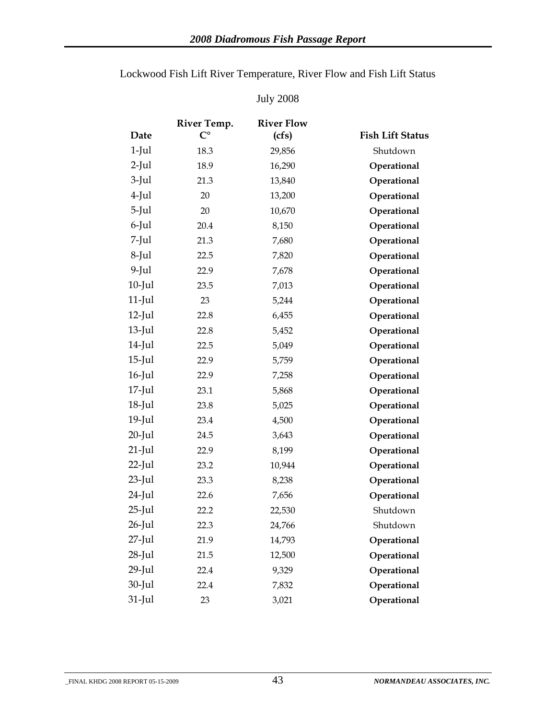|           | River Temp. | <b>River Flow</b> |                         |
|-----------|-------------|-------------------|-------------------------|
| Date      | $C^{\circ}$ | (cfs)             | <b>Fish Lift Status</b> |
| $1$ -Jul  | 18.3        | 29,856            | Shutdown                |
| $2$ -Jul  | 18.9        | 16,290            | Operational             |
| $3$ -Jul  | 21.3        | 13,840            | Operational             |
| $4$ -Jul  | 20          | 13,200            | Operational             |
| $5$ -Jul  | 20          | 10,670            | Operational             |
| $6$ -Jul  | 20.4        | 8,150             | Operational             |
| $7$ -Jul  | 21.3        | 7,680             | Operational             |
| $8$ -Jul  | 22.5        | 7,820             | Operational             |
| $9$ -Jul  | 22.9        | 7,678             | Operational             |
| $10$ -Jul | 23.5        | 7,013             | Operational             |
| $11$ -Jul | 23          | 5,244             | Operational             |
| $12$ -Jul | 22.8        | 6,455             | Operational             |
| $13$ -Jul | 22.8        | 5,452             | Operational             |
| $14$ -Jul | 22.5        | 5,049             | Operational             |
| $15$ -Jul | 22.9        | 5,759             | Operational             |
| $16$ -Jul | 22.9        | 7,258             | Operational             |
| $17$ -Jul | 23.1        | 5,868             | Operational             |
| $18$ -Jul | 23.8        | 5,025             | Operational             |
| $19$ -Jul | 23.4        | 4,500             | Operational             |
| $20$ -Jul | 24.5        | 3,643             | Operational             |
| $21$ -Jul | 22.9        | 8,199             | Operational             |
| $22$ -Jul | 23.2        | 10,944            | Operational             |
| $23$ -Jul | 23.3        | 8,238             | Operational             |
| $24$ -Jul | 22.6        | 7,656             | Operational             |
| $25$ -Jul | 22.2        | 22,530            | Shutdown                |
| $26$ -Jul | 22.3        | 24,766            | Shutdown                |
| $27$ -Jul | 21.9        | 14,793            | Operational             |
| $28$ -Jul | 21.5        | 12,500            | Operational             |
| $29$ -Jul | 22.4        | 9,329             | Operational             |
| $30$ -Jul | 22.4        | 7,832             | Operational             |
| $31$ -Jul | 23          | 3,021             | Operational             |

Lockwood Fish Lift River Temperature, River Flow and Fish Lift Status

#### July 2008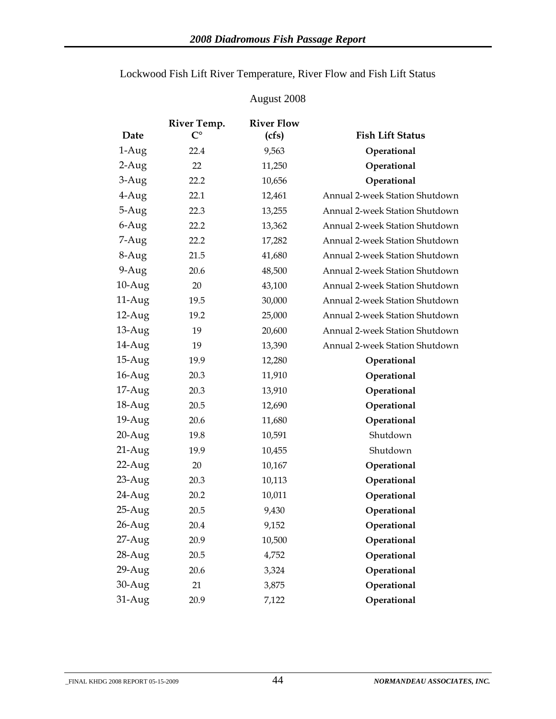| Lockwood Fish Lift River Temperature, River Flow and Fish Lift Status |  |
|-----------------------------------------------------------------------|--|
|-----------------------------------------------------------------------|--|

### August 2008

|           | River Temp. | <b>River Flow</b> |                                |
|-----------|-------------|-------------------|--------------------------------|
| Date      | $C^{\circ}$ | (cfs)             | <b>Fish Lift Status</b>        |
| $1-Aug$   | 22.4        | 9,563             | Operational                    |
| $2-Aug$   | 22          | 11,250            | Operational                    |
| $3-Aug$   | 22.2        | 10,656            | Operational                    |
| 4-Aug     | 22.1        | 12,461            | Annual 2-week Station Shutdown |
| 5-Aug     | 22.3        | 13,255            | Annual 2-week Station Shutdown |
| 6-Aug     | 22.2        | 13,362            | Annual 2-week Station Shutdown |
| 7-Aug     | 22.2        | 17,282            | Annual 2-week Station Shutdown |
| 8-Aug     | 21.5        | 41,680            | Annual 2-week Station Shutdown |
| $9-Aug$   | 20.6        | 48,500            | Annual 2-week Station Shutdown |
| $10-Aug$  | 20          | 43,100            | Annual 2-week Station Shutdown |
| $11-Aug$  | 19.5        | 30,000            | Annual 2-week Station Shutdown |
| $12$ -Aug | 19.2        | 25,000            | Annual 2-week Station Shutdown |
| $13$ -Aug | 19          | 20,600            | Annual 2-week Station Shutdown |
| 14-Aug    | 19          | 13,390            | Annual 2-week Station Shutdown |
| $15-Aug$  | 19.9        | 12,280            | Operational                    |
| $16$ -Aug | 20.3        | 11,910            | Operational                    |
| $17$ -Aug | 20.3        | 13,910            | Operational                    |
| $18-Aug$  | 20.5        | 12,690            | Operational                    |
| $19-Aug$  | 20.6        | 11,680            | Operational                    |
| $20-Aug$  | 19.8        | 10,591            | Shutdown                       |
| 21-Aug    | 19.9        | 10,455            | Shutdown                       |
| $22$ -Aug | 20          | 10,167            | Operational                    |
| $23$ -Aug | 20.3        | 10,113            | Operational                    |
| $24$ -Aug | 20.2        | 10,011            | Operational                    |
| $25-Aug$  | 20.5        | 9,430             | Operational                    |
| $26$ -Aug | 20.4        | 9,152             | Operational                    |
| $27-Aug$  | 20.9        | 10,500            | Operational                    |
| 28-Aug    | 20.5        | 4,752             | Operational                    |
| $29$ -Aug | 20.6        | 3,324             | Operational                    |
| 30-Aug    | 21          | 3,875             | Operational                    |
| $31-Aug$  | 20.9        | 7,122             | Operational                    |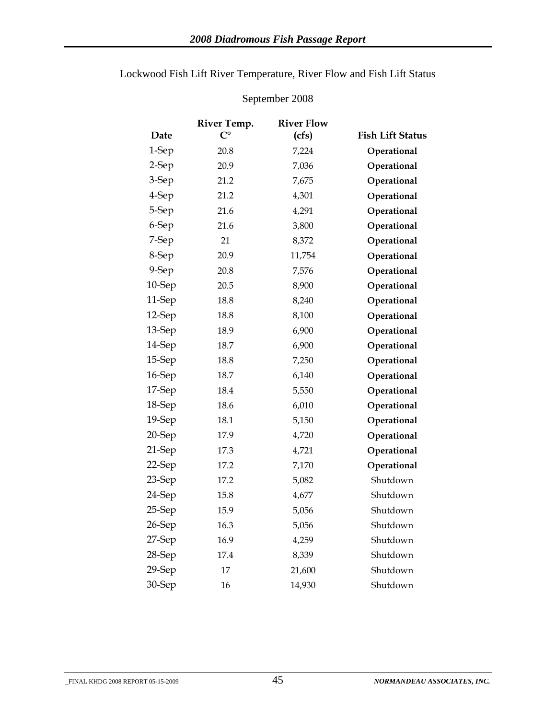|        | River Temp.        | <b>River Flow</b> |                         |
|--------|--------------------|-------------------|-------------------------|
| Date   | $\mathsf{C}^\circ$ | (cfs)             | <b>Fish Lift Status</b> |
| 1-Sep  | 20.8               | 7,224             | Operational             |
| 2-Sep  | 20.9               | 7,036             | Operational             |
| 3-Sep  | 21.2               | 7,675             | Operational             |
| 4-Sep  | 21.2               | 4,301             | Operational             |
| 5-Sep  | 21.6               | 4,291             | Operational             |
| 6-Sep  | 21.6               | 3,800             | Operational             |
| 7-Sep  | 21                 | 8,372             | Operational             |
| 8-Sep  | 20.9               | 11,754            | Operational             |
| 9-Sep  | 20.8               | 7,576             | Operational             |
| 10-Sep | 20.5               | 8,900             | Operational             |
| 11-Sep | 18.8               | 8,240             | Operational             |
| 12-Sep | 18.8               | 8,100             | Operational             |
| 13-Sep | 18.9               | 6,900             | Operational             |
| 14-Sep | 18.7               | 6,900             | Operational             |
| 15-Sep | 18.8               | 7,250             | Operational             |
| 16-Sep | 18.7               | 6,140             | Operational             |
| 17-Sep | 18.4               | 5,550             | Operational             |
| 18-Sep | 18.6               | 6,010             | Operational             |
| 19-Sep | 18.1               | 5,150             | Operational             |
| 20-Sep | 17.9               | 4,720             | Operational             |
| 21-Sep | 17.3               | 4,721             | Operational             |
| 22-Sep | 17.2               | 7,170             | Operational             |
| 23-Sep | 17.2               | 5,082             | Shutdown                |
| 24-Sep | 15.8               | 4,677             | Shutdown                |
| 25-Sep | 15.9               | 5,056             | Shutdown                |
| 26-Sep | 16.3               | 5,056             | Shutdown                |
| 27-Sep | 16.9               | 4,259             | Shutdown                |
| 28-Sep | 17.4               | 8,339             | Shutdown                |
| 29-Sep | 17                 | 21,600            | Shutdown                |
| 30-Sep | 16                 | 14,930            | Shutdown                |

Lockwood Fish Lift River Temperature, River Flow and Fish Lift Status

#### September 2008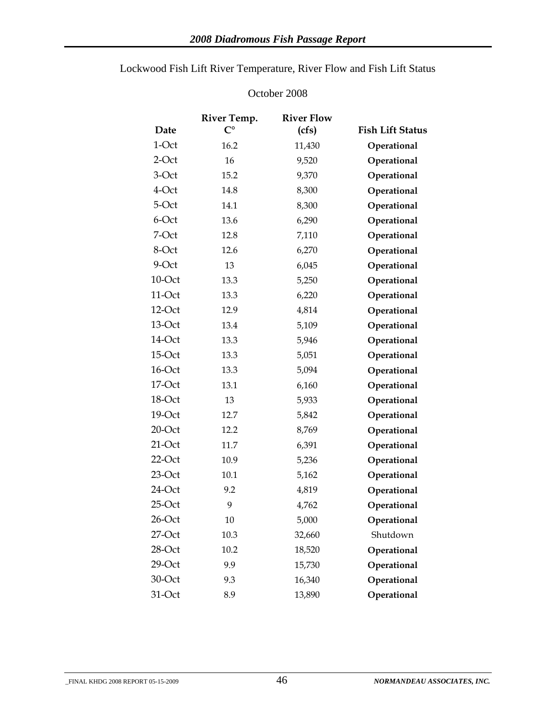|           | River Temp. | <b>River Flow</b> |                         |
|-----------|-------------|-------------------|-------------------------|
| Date      | $C^{\circ}$ | (cfs)             | <b>Fish Lift Status</b> |
| 1-Oct     | 16.2        | 11,430            | Operational             |
| $2$ -Oct  | 16          | 9,520             | Operational             |
| 3-Oct     | 15.2        | 9,370             | Operational             |
| 4-Oct     | 14.8        | 8,300             | Operational             |
| 5-Oct     | 14.1        | 8,300             | Operational             |
| 6-Oct     | 13.6        | 6,290             | Operational             |
| 7-Oct     | 12.8        | 7,110             | Operational             |
| 8-Oct     | 12.6        | 6,270             | Operational             |
| 9-Oct     | 13          | 6,045             | Operational             |
| $10$ -Oct | 13.3        | 5,250             | Operational             |
| 11-Oct    | 13.3        | 6,220             | Operational             |
| 12-Oct    | 12.9        | 4,814             | Operational             |
| $13$ -Oct | 13.4        | 5,109             | Operational             |
| 14-Oct    | 13.3        | 5,946             | Operational             |
| $15$ -Oct | 13.3        | 5,051             | Operational             |
| 16-Oct    | 13.3        | 5,094             | Operational             |
| $17$ -Oct | 13.1        | 6,160             | Operational             |
| 18-Oct    | 13          | 5,933             | Operational             |
| 19-Oct    | 12.7        | 5,842             | Operational             |
| $20$ -Oct | 12.2        | 8,769             | Operational             |
| $21$ -Oct | 11.7        | 6,391             | Operational             |
| $22$ -Oct | 10.9        | 5,236             | Operational             |
| $23$ -Oct | 10.1        | 5,162             | Operational             |
| 24-Oct    | 9.2         | 4,819             | Operational             |
| $25$ -Oct | 9           | 4,762             | Operational             |
| 26-Oct    | 10          | 5,000             | Operational             |
| $27$ -Oct | 10.3        | 32,660            | Shutdown                |
| $28$ -Oct | 10.2        | 18,520            | Operational             |
| $29$ -Oct | 9.9         | 15,730            | Operational             |
| 30-Oct    | 9.3         | 16,340            | Operational             |
| 31-Oct    | 8.9         | 13,890            | Operational             |

### Lockwood Fish Lift River Temperature, River Flow and Fish Lift Status

#### October 2008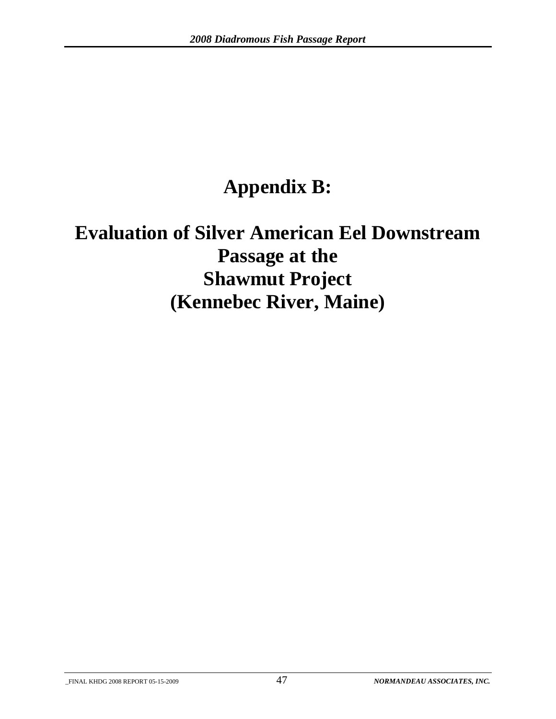# **Appendix B:**

# **Evaluation of Silver American Eel Downstream Passage at the Shawmut Project (Kennebec River, Maine)**